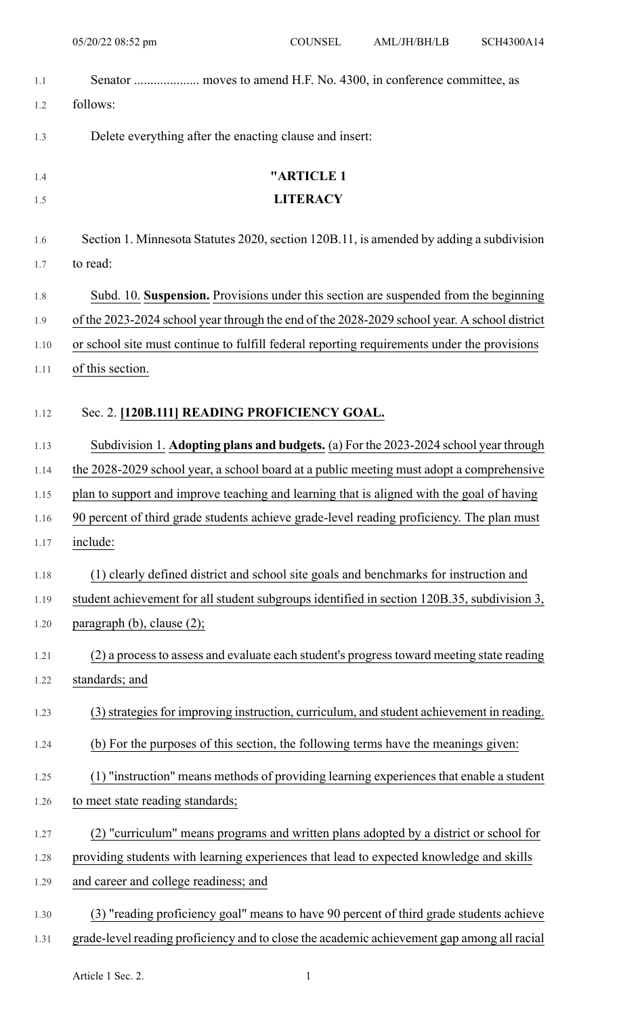- 1.1 Senator .................... moves to amend H.F. No. 4300, in conference committee, as 1.2 follows:
- 1.3 Delete everything after the enacting clause and insert:

# 1.4 **"ARTICLE 1** 1.5 **LITERACY** 1.6 Section 1. Minnesota Statutes 2020, section 120B.11, is amended by adding a subdivision

- 1.8 Subd. 10. **Suspension.** Provisions under this section are suspended from the beginning
- 1.9 of the 2023-2024 school year through the end of the 2028-2029 school year. A school district
- 1.10 or school site must continue to fulfill federal reporting requirements under the provisions
- 1.11 of this section.

1.7 to read:

# 1.12 Sec. 2. **[120B.111] READING PROFICIENCY GOAL.**

1.13 Subdivision 1. **Adopting plans and budgets.** (a) For the 2023-2024 school year through

1.14 the 2028-2029 school year, a school board at a public meeting must adopt a comprehensive

1.15 plan to support and improve teaching and learning that is aligned with the goal of having

- 1.16 90 percent of third grade students achieve grade-level reading proficiency. The plan must 1.17 include:
- 1.18 (1) clearly defined district and school site goals and benchmarks for instruction and
- 1.19 student achievement for all student subgroups identified in section 120B.35, subdivision 3, 1.20 paragraph (b), clause (2);
- 1.21 (2) a process to assess and evaluate each student's progress toward meeting state reading 1.22 standards; and
- 1.23 (3) strategies for improving instruction, curriculum, and student achievement in reading.
- 1.24 (b) For the purposes of this section, the following terms have the meanings given:
- 1.25 (1) "instruction" means methods of providing learning experiences that enable a student 1.26 to meet state reading standards;
- 1.27 (2) "curriculum" means programs and written plans adopted by a district or school for
- 1.28 providing students with learning experiences that lead to expected knowledge and skills
- 1.29 and career and college readiness; and
- 1.30 (3) "reading proficiency goal" means to have 90 percent of third grade students achieve 1.31 grade-level reading proficiency and to close the academic achievement gap among all racial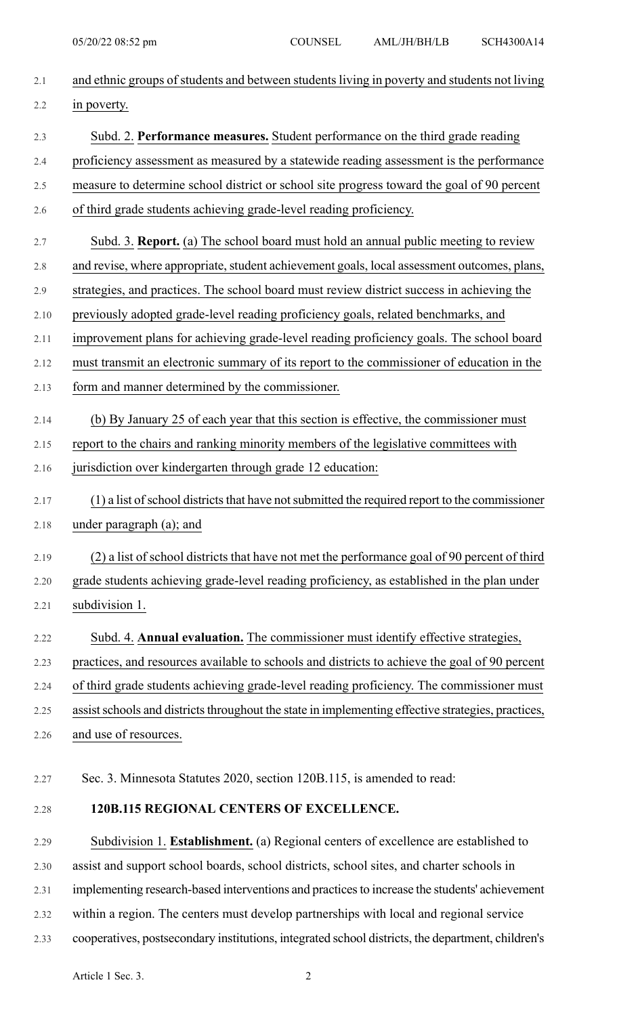| 2.1  | and ethnic groups of students and between students living in poverty and students not living       |
|------|----------------------------------------------------------------------------------------------------|
| 2.2  | in poverty.                                                                                        |
| 2.3  | Subd. 2. Performance measures. Student performance on the third grade reading                      |
| 2.4  | proficiency assessment as measured by a statewide reading assessment is the performance            |
| 2.5  | measure to determine school district or school site progress toward the goal of 90 percent         |
| 2.6  | of third grade students achieving grade-level reading proficiency.                                 |
| 2.7  | Subd. 3. Report. (a) The school board must hold an annual public meeting to review                 |
| 2.8  | and revise, where appropriate, student achievement goals, local assessment outcomes, plans,        |
| 2.9  | strategies, and practices. The school board must review district success in achieving the          |
| 2.10 | previously adopted grade-level reading proficiency goals, related benchmarks, and                  |
| 2.11 | improvement plans for achieving grade-level reading proficiency goals. The school board            |
| 2.12 | must transmit an electronic summary of its report to the commissioner of education in the          |
| 2.13 | form and manner determined by the commissioner.                                                    |
| 2.14 | (b) By January 25 of each year that this section is effective, the commissioner must               |
| 2.15 | report to the chairs and ranking minority members of the legislative committees with               |
| 2.16 | jurisdiction over kindergarten through grade 12 education:                                         |
| 2.17 | (1) a list of school districts that have not submitted the required report to the commissioner     |
| 2.18 | under paragraph (a); and                                                                           |
| 2.19 | (2) a list of school districts that have not met the performance goal of 90 percent of third       |
| 2.20 | grade students achieving grade-level reading proficiency, as established in the plan under         |
| 2.21 | subdivision 1.                                                                                     |
| 2.22 | Subd. 4. Annual evaluation. The commissioner must identify effective strategies,                   |
| 2.23 | practices, and resources available to schools and districts to achieve the goal of 90 percent      |
| 2.24 | of third grade students achieving grade-level reading proficiency. The commissioner must           |
| 2.25 | assist schools and districts throughout the state in implementing effective strategies, practices, |
| 2.26 | and use of resources.                                                                              |
| 2.27 | Sec. 3. Minnesota Statutes 2020, section 120B.115, is amended to read:                             |
|      |                                                                                                    |
| 2.28 | 120B.115 REGIONAL CENTERS OF EXCELLENCE.                                                           |
| 2.29 | Subdivision 1. Establishment. (a) Regional centers of excellence are established to                |
| 2.30 | assist and support school boards, school districts, school sites, and charter schools in           |
| 2.31 | implementing research-based interventions and practices to increase the students' achievement      |
| 2.32 | within a region. The centers must develop partnerships with local and regional service             |
| 2.33 | cooperatives, postsecondary institutions, integrated school districts, the department, children's  |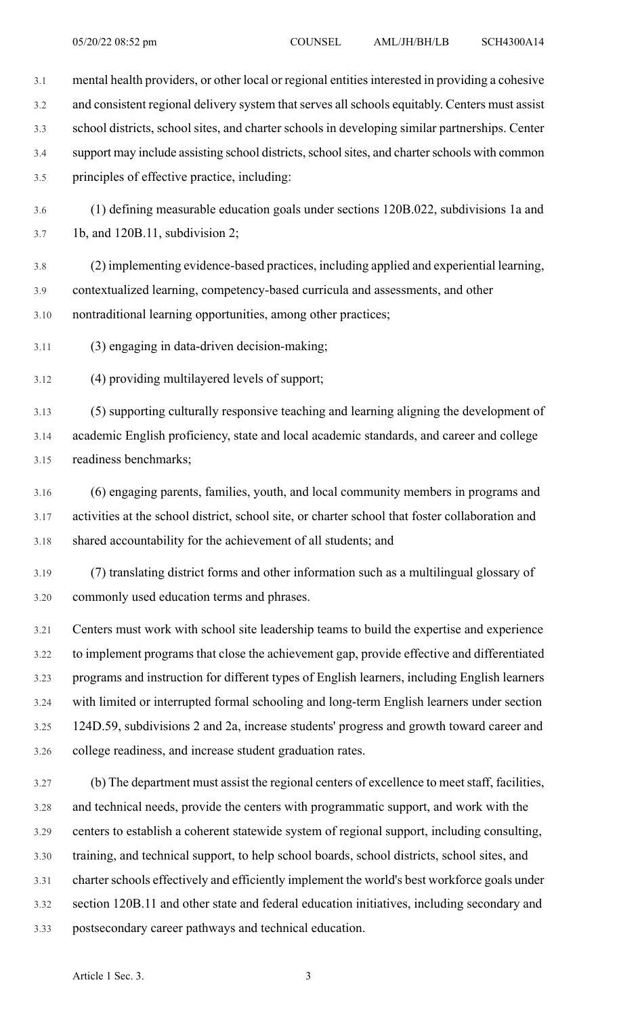3.1 mental health providers, or other local or regional entities interested in providing a cohesive 3.2 and consistent regional delivery system that serves all schools equitably. Centers must assist 3.3 school districts, school sites, and charter schools in developing similar partnerships. Center 3.4 support may include assisting school districts, school sites, and charter schools with common 3.5 principles of effective practice, including: 3.6 (1) defining measurable education goals under sections 120B.022, subdivisions 1a and 3.7 1b, and 120B.11, subdivision 2; 3.8 (2) implementing evidence-based practices, including applied and experiential learning, 3.9 contextualized learning, competency-based curricula and assessments, and other 3.10 nontraditional learning opportunities, among other practices; 3.11 (3) engaging in data-driven decision-making; 3.12 (4) providing multilayered levels of support; 3.13 (5) supporting culturally responsive teaching and learning aligning the development of 3.14 academic English proficiency, state and local academic standards, and career and college 3.15 readiness benchmarks; 3.16 (6) engaging parents, families, youth, and local community members in programs and 3.17 activities at the school district, school site, or charter school that foster collaboration and 3.18 shared accountability for the achievement of all students; and

3.19 (7) translating district forms and other information such as a multilingual glossary of 3.20 commonly used education terms and phrases.

3.21 Centers must work with school site leadership teams to build the expertise and experience 3.22 to implement programs that close the achievement gap, provide effective and differentiated 3.23 programs and instruction for different types of English learners, including English learners 3.24 with limited or interrupted formal schooling and long-term English learners under section 3.25 124D.59, subdivisions 2 and 2a, increase students' progress and growth toward career and 3.26 college readiness, and increase student graduation rates.

3.27 (b) The department must assist the regional centers of excellence to meetstaff, facilities, 3.28 and technical needs, provide the centers with programmatic support, and work with the 3.29 centers to establish a coherent statewide system of regional support, including consulting, 3.30 training, and technical support, to help school boards, school districts, school sites, and 3.31 charter schools effectively and efficiently implement the world's best workforce goals under 3.32 section 120B.11 and other state and federal education initiatives, including secondary and 3.33 postsecondary career pathways and technical education.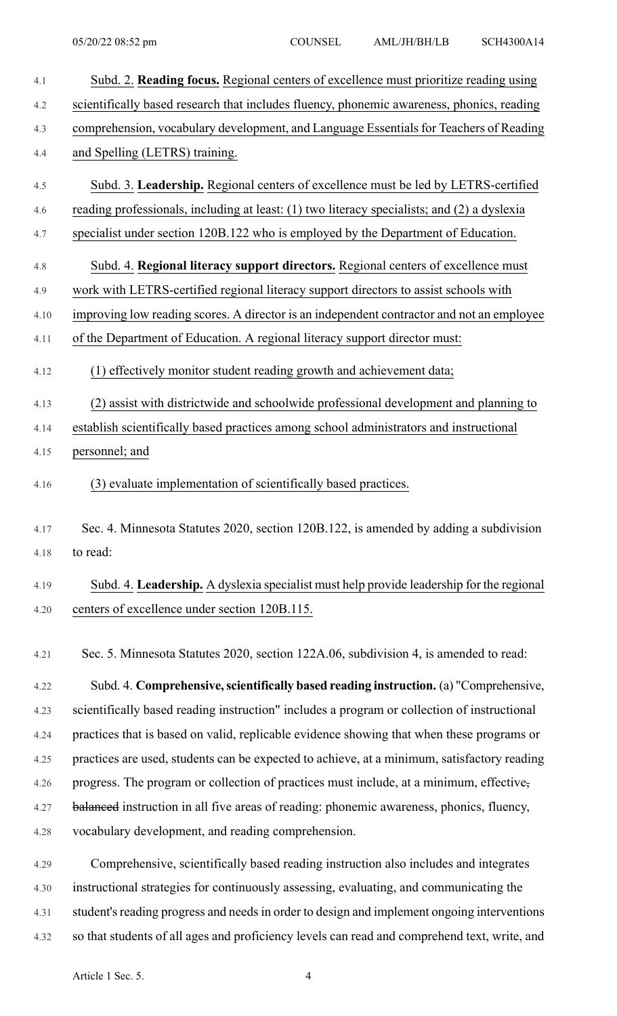| 4.1  | Subd. 2. Reading focus. Regional centers of excellence must prioritize reading using        |
|------|---------------------------------------------------------------------------------------------|
| 4.2  | scientifically based research that includes fluency, phonemic awareness, phonics, reading   |
| 4.3  | comprehension, vocabulary development, and Language Essentials for Teachers of Reading      |
| 4.4  | and Spelling (LETRS) training.                                                              |
| 4.5  | Subd. 3. Leadership. Regional centers of excellence must be led by LETRS-certified          |
| 4.6  | reading professionals, including at least: (1) two literacy specialists; and (2) a dyslexia |
| 4.7  | specialist under section 120B.122 who is employed by the Department of Education.           |
| 4.8  | Subd. 4. Regional literacy support directors. Regional centers of excellence must           |
| 4.9  | work with LETRS-certified regional literacy support directors to assist schools with        |
| 4.10 | improving low reading scores. A director is an independent contractor and not an employee   |
| 4.11 | of the Department of Education. A regional literacy support director must:                  |
| 4.12 | (1) effectively monitor student reading growth and achievement data;                        |
| 4.13 | (2) assist with districtwide and schoolwide professional development and planning to        |
| 4.14 | establish scientifically based practices among school administrators and instructional      |
| 4.15 | personnel; and                                                                              |
| 4.16 | (3) evaluate implementation of scientifically based practices.                              |
| 4.17 | Sec. 4. Minnesota Statutes 2020, section 120B.122, is amended by adding a subdivision       |
| 4.18 | to read:                                                                                    |
| 4.19 | Subd. 4. Leadership. A dyslexia specialist must help provide leadership for the regional    |
| 4.20 | centers of excellence under section 120B.115.                                               |
| 4.21 | Sec. 5. Minnesota Statutes 2020, section 122A.06, subdivision 4, is amended to read:        |
|      | Subd A Comprehensive seigntifically hosed reading instruction (a) Comprehensive             |

4.22 Subd. 4. **Comprehensive,scientifically based reading instruction.** (a) "Comprehensive, 4.23 scientifically based reading instruction" includes a program or collection of instructional 4.24 practices that is based on valid, replicable evidence showing that when these programs or 4.25 practices are used, students can be expected to achieve, at a minimum, satisfactory reading 4.26 progress. The program or collection of practices must include, at a minimum, effective, 4.27 balanced instruction in all five areas of reading: phonemic awareness, phonics, fluency, 4.28 vocabulary development, and reading comprehension.

4.29 Comprehensive, scientifically based reading instruction also includes and integrates 4.30 instructional strategies for continuously assessing, evaluating, and communicating the 4.31 student's reading progress and needs in order to design and implement ongoing interventions 4.32 so that students of all ages and proficiency levels can read and comprehend text, write, and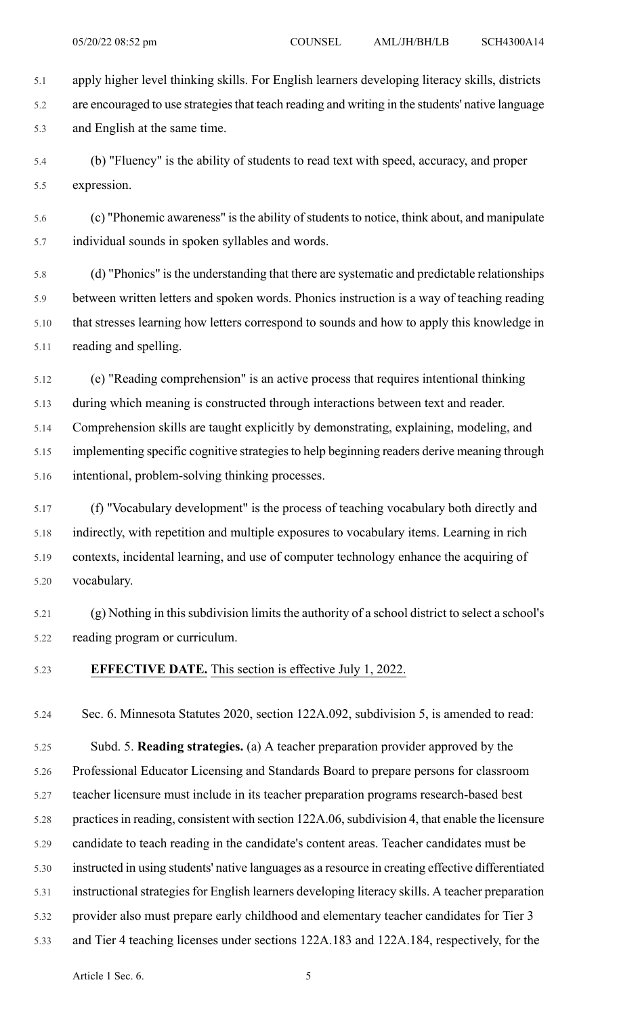5.1 apply higher level thinking skills. For English learners developing literacy skills, districts 5.2 are encouraged to use strategiesthat teach reading and writing in the students' native language 5.3 and English at the same time.

5.4 (b) "Fluency" is the ability of students to read text with speed, accuracy, and proper 5.5 expression.

5.6 (c) "Phonemic awareness" isthe ability ofstudentsto notice, think about, and manipulate 5.7 individual sounds in spoken syllables and words.

5.8 (d) "Phonics" is the understanding that there are systematic and predictable relationships 5.9 between written letters and spoken words. Phonics instruction is a way of teaching reading 5.10 that stresses learning how letters correspond to sounds and how to apply this knowledge in 5.11 reading and spelling.

5.12 (e) "Reading comprehension" is an active process that requires intentional thinking 5.13 during which meaning is constructed through interactions between text and reader. 5.14 Comprehension skills are taught explicitly by demonstrating, explaining, modeling, and 5.15 implementing specific cognitive strategiesto help beginning readers derive meaning through 5.16 intentional, problem-solving thinking processes.

5.17 (f) "Vocabulary development" is the process of teaching vocabulary both directly and 5.18 indirectly, with repetition and multiple exposures to vocabulary items. Learning in rich 5.19 contexts, incidental learning, and use of computer technology enhance the acquiring of 5.20 vocabulary.

5.21 (g) Nothing in this subdivision limits the authority of a school district to select a school's 5.22 reading program or curriculum.

#### 5.23 **EFFECTIVE DATE.** This section is effective July 1, 2022.

5.24 Sec. 6. Minnesota Statutes 2020, section 122A.092, subdivision 5, is amended to read:

5.25 Subd. 5. **Reading strategies.** (a) A teacher preparation provider approved by the 5.26 Professional Educator Licensing and Standards Board to prepare persons for classroom 5.27 teacher licensure must include in its teacher preparation programs research-based best 5.28 practices in reading, consistent with section 122A.06, subdivision 4, that enable the licensure 5.29 candidate to teach reading in the candidate's content areas. Teacher candidates must be 5.30 instructed in using students' native languages as a resource in creating effective differentiated 5.31 instructional strategies for English learners developing literacy skills. A teacher preparation 5.32 provider also must prepare early childhood and elementary teacher candidates for Tier 3 5.33 and Tier 4 teaching licenses under sections 122A.183 and 122A.184, respectively, for the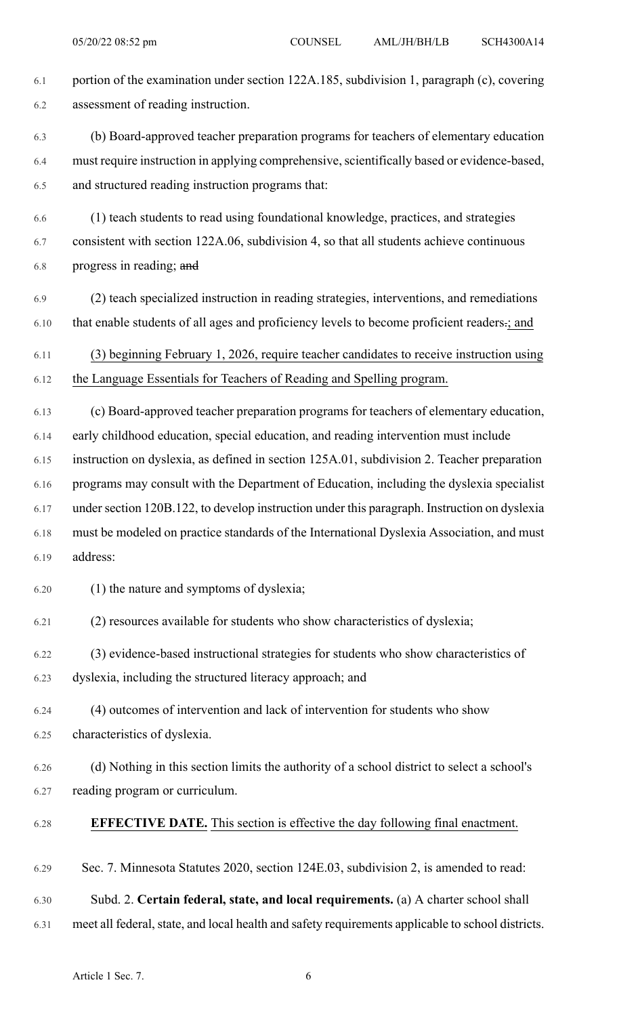6.1 portion of the examination under section 122A.185, subdivision 1, paragraph (c), covering 6.2 assessment of reading instruction. 6.3 (b) Board-approved teacher preparation programs for teachers of elementary education 6.4 must require instruction in applying comprehensive, scientifically based or evidence-based, 6.5 and structured reading instruction programs that: 6.6 (1) teach students to read using foundational knowledge, practices, and strategies 6.7 consistent with section 122A.06, subdivision 4, so that all students achieve continuous 6.8 progress in reading; and 6.9 (2) teach specialized instruction in reading strategies, interventions, and remediations 6.10 that enable students of all ages and proficiency levels to become proficient readers.; and 6.11 (3) beginning February 1, 2026, require teacher candidates to receive instruction using 6.12 the Language Essentials for Teachers of Reading and Spelling program. 6.13 (c) Board-approved teacher preparation programs for teachers of elementary education, 6.14 early childhood education, special education, and reading intervention must include 6.15 instruction on dyslexia, as defined in section 125A.01, subdivision 2. Teacher preparation 6.16 programs may consult with the Department of Education, including the dyslexia specialist 6.17 undersection 120B.122, to develop instruction under this paragraph. Instruction on dyslexia 6.18 must be modeled on practice standards of the International Dyslexia Association, and must 6.19 address: 6.20 (1) the nature and symptoms of dyslexia; 6.21 (2) resources available for students who show characteristics of dyslexia; 6.22 (3) evidence-based instructional strategies for students who show characteristics of 6.23 dyslexia, including the structured literacy approach; and 6.24 (4) outcomes of intervention and lack of intervention for students who show 6.25 characteristics of dyslexia. 6.26 (d) Nothing in this section limits the authority of a school district to select a school's 6.27 reading program or curriculum. 6.28 **EFFECTIVE DATE.** This section is effective the day following final enactment. 6.29 Sec. 7. Minnesota Statutes 2020, section 124E.03, subdivision 2, is amended to read: 6.30 Subd. 2. **Certain federal, state, and local requirements.** (a) A charter school shall 6.31 meet all federal, state, and local health and safety requirements applicable to school districts.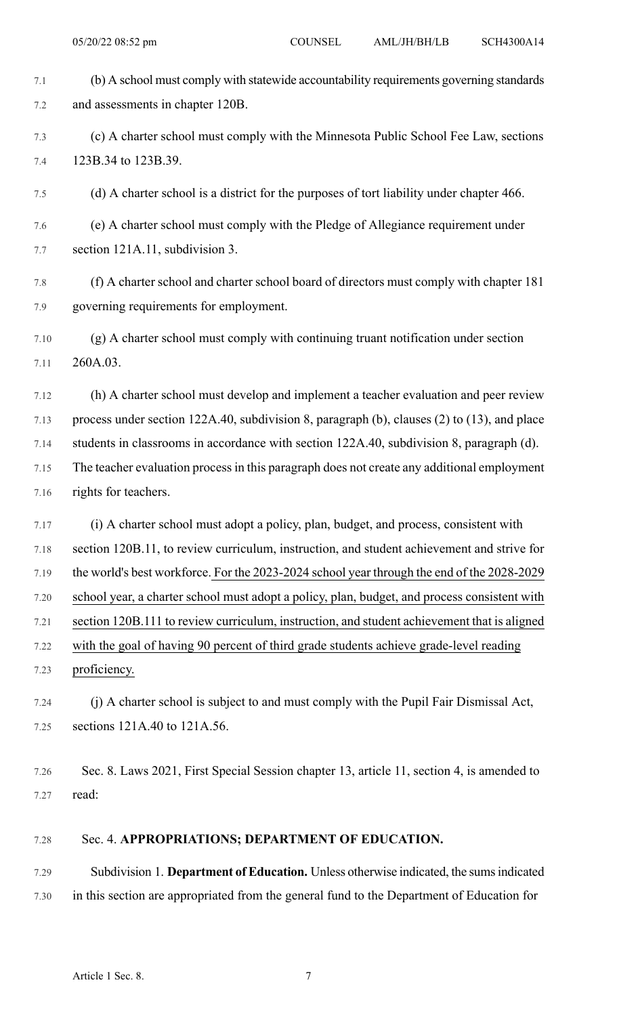| 7.1  | (b) A school must comply with statewide accountability requirements governing standards      |
|------|----------------------------------------------------------------------------------------------|
| 7.2  | and assessments in chapter 120B.                                                             |
| 7.3  | (c) A charter school must comply with the Minnesota Public School Fee Law, sections          |
| 7.4  | 123B.34 to 123B.39.                                                                          |
| 7.5  | (d) A charter school is a district for the purposes of tort liability under chapter 466.     |
| 7.6  | (e) A charter school must comply with the Pledge of Allegiance requirement under             |
| 7.7  | section 121A.11, subdivision 3.                                                              |
| 7.8  | (f) A charter school and charter school board of directors must comply with chapter 181      |
| 7.9  | governing requirements for employment.                                                       |
| 7.10 | (g) A charter school must comply with continuing truant notification under section           |
| 7.11 | 260A.03.                                                                                     |
| 7.12 | (h) A charter school must develop and implement a teacher evaluation and peer review         |
| 7.13 | process under section 122A.40, subdivision 8, paragraph (b), clauses (2) to (13), and place  |
| 7.14 | students in classrooms in accordance with section 122A.40, subdivision 8, paragraph (d).     |
| 7.15 | The teacher evaluation process in this paragraph does not create any additional employment   |
| 7.16 | rights for teachers.                                                                         |
| 7.17 | (i) A charter school must adopt a policy, plan, budget, and process, consistent with         |
| 7.18 | section 120B.11, to review curriculum, instruction, and student achievement and strive for   |
| 7.19 | the world's best workforce. For the 2023-2024 school year through the end of the 2028-2029   |
| 7.20 | school year, a charter school must adopt a policy, plan, budget, and process consistent with |
| 7.21 | section 120B.111 to review curriculum, instruction, and student achievement that is aligned  |
| 7.22 | with the goal of having 90 percent of third grade students achieve grade-level reading       |
| 7.23 | proficiency.                                                                                 |
| 7.24 | (j) A charter school is subject to and must comply with the Pupil Fair Dismissal Act,        |
| 7.25 | sections 121A.40 to 121A.56.                                                                 |
|      |                                                                                              |
| 7.26 | Sec. 8. Laws 2021, First Special Session chapter 13, article 11, section 4, is amended to    |
| 7.27 | read:                                                                                        |
| 7.28 | Sec. 4. APPROPRIATIONS; DEPARTMENT OF EDUCATION.                                             |
| 7.29 | Subdivision 1. Department of Education. Unless otherwise indicated, the sums indicated       |
| 7.30 | in this section are appropriated from the general fund to the Department of Education for    |
|      |                                                                                              |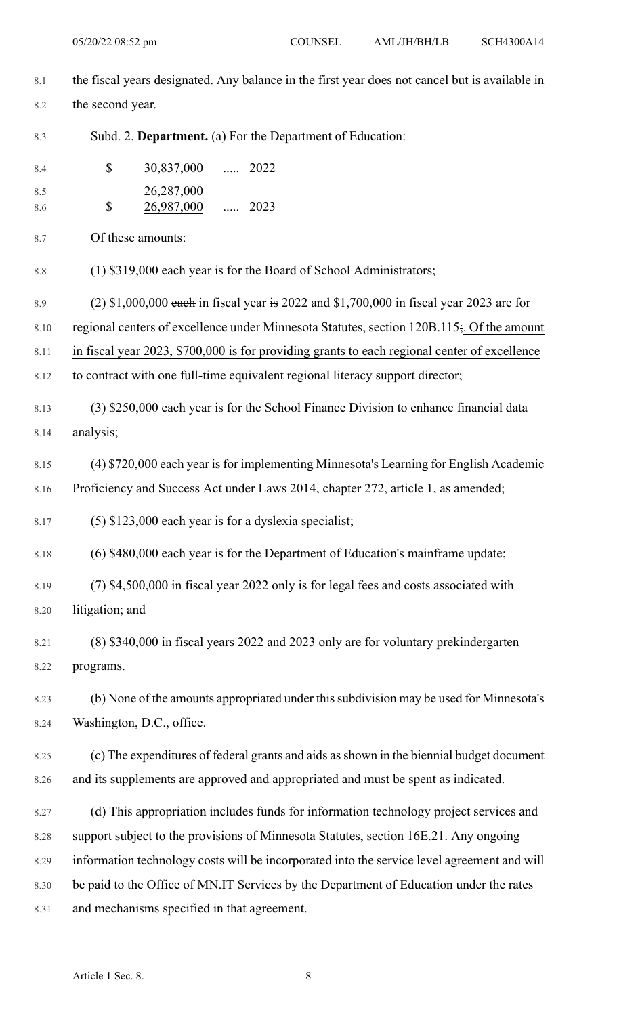| 8.1        | the fiscal years designated. Any balance in the first year does not cancel but is available in |                                                                                              |  |  |  |  |
|------------|------------------------------------------------------------------------------------------------|----------------------------------------------------------------------------------------------|--|--|--|--|
| 8.2        | the second year.                                                                               |                                                                                              |  |  |  |  |
| 8.3        |                                                                                                | Subd. 2. Department. (a) For the Department of Education:                                    |  |  |  |  |
| 8.4        | \$                                                                                             | 30,837,000  2022                                                                             |  |  |  |  |
| 8.5<br>8.6 | \$                                                                                             | <del>26,287,000</del><br>$\cdots$ 2023<br>26,987,000                                         |  |  |  |  |
| 8.7        | Of these amounts:                                                                              |                                                                                              |  |  |  |  |
| $8.8\,$    |                                                                                                | (1) \$319,000 each year is for the Board of School Administrators;                           |  |  |  |  |
| 8.9        |                                                                                                | $(2)$ \$1,000,000 each in fiscal year is 2022 and \$1,700,000 in fiscal year 2023 are for    |  |  |  |  |
| 8.10       |                                                                                                | regional centers of excellence under Minnesota Statutes, section 120B.115; Of the amount     |  |  |  |  |
| 8.11       |                                                                                                | in fiscal year 2023, \$700,000 is for providing grants to each regional center of excellence |  |  |  |  |
| 8.12       |                                                                                                | to contract with one full-time equivalent regional literacy support director;                |  |  |  |  |
| 8.13       |                                                                                                | (3) \$250,000 each year is for the School Finance Division to enhance financial data         |  |  |  |  |
| 8.14       | analysis;                                                                                      |                                                                                              |  |  |  |  |
| 8.15       |                                                                                                | (4) \$720,000 each year is for implementing Minnesota's Learning for English Academic        |  |  |  |  |
| 8.16       |                                                                                                | Proficiency and Success Act under Laws 2014, chapter 272, article 1, as amended;             |  |  |  |  |
| 8.17       |                                                                                                | $(5)$ \$123,000 each year is for a dyslexia specialist;                                      |  |  |  |  |
| 8.18       |                                                                                                | (6) \$480,000 each year is for the Department of Education's mainframe update;               |  |  |  |  |
| 8.19       |                                                                                                | (7) \$4,500,000 in fiscal year 2022 only is for legal fees and costs associated with         |  |  |  |  |
| 8.20       | litigation; and                                                                                |                                                                                              |  |  |  |  |
| 8.21       |                                                                                                | (8) \$340,000 in fiscal years 2022 and 2023 only are for voluntary prekindergarten           |  |  |  |  |
| 8.22       | programs.                                                                                      |                                                                                              |  |  |  |  |
| 8.23       |                                                                                                | (b) None of the amounts appropriated under this subdivision may be used for Minnesota's      |  |  |  |  |
| 8.24       | Washington, D.C., office.                                                                      |                                                                                              |  |  |  |  |
| 8.25       |                                                                                                | (c) The expenditures of federal grants and aids as shown in the biennial budget document     |  |  |  |  |
| 8.26       |                                                                                                | and its supplements are approved and appropriated and must be spent as indicated.            |  |  |  |  |
| 8.27       |                                                                                                | (d) This appropriation includes funds for information technology project services and        |  |  |  |  |
| 8.28       |                                                                                                | support subject to the provisions of Minnesota Statutes, section 16E.21. Any ongoing         |  |  |  |  |
| 8.29       |                                                                                                | information technology costs will be incorporated into the service level agreement and will  |  |  |  |  |
| 8.30       |                                                                                                | be paid to the Office of MN.IT Services by the Department of Education under the rates       |  |  |  |  |
| 8.31       |                                                                                                | and mechanisms specified in that agreement.                                                  |  |  |  |  |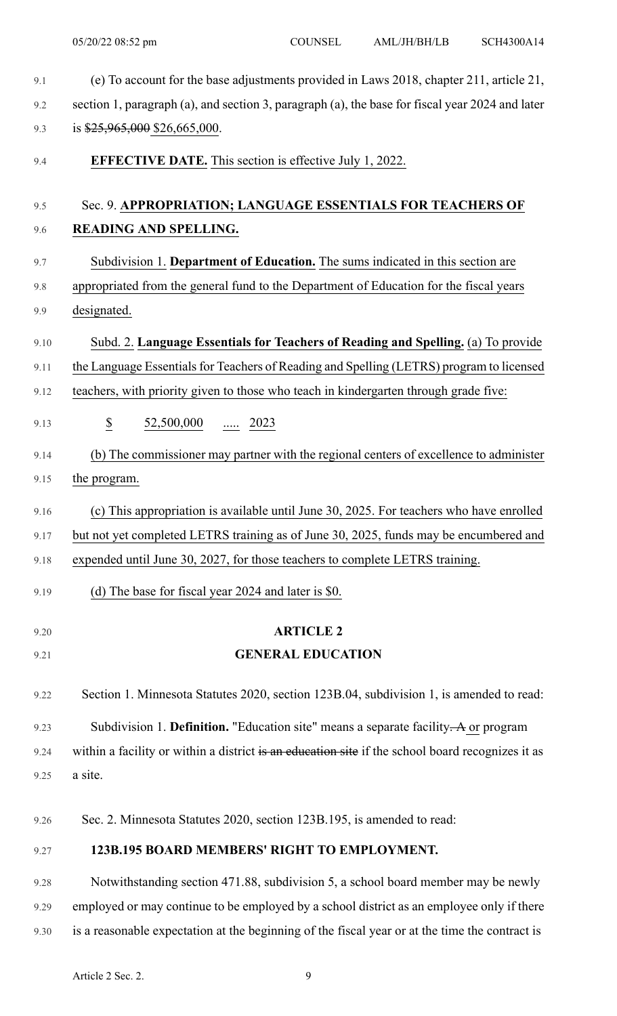| 9.1  | (e) To account for the base adjustments provided in Laws 2018, chapter 211, article 21,          |  |  |  |  |  |
|------|--------------------------------------------------------------------------------------------------|--|--|--|--|--|
| 9.2  | section 1, paragraph (a), and section 3, paragraph (a), the base for fiscal year 2024 and later  |  |  |  |  |  |
| 9.3  | is $$25,965,000$ \$26,665,000.                                                                   |  |  |  |  |  |
| 9.4  | <b>EFFECTIVE DATE.</b> This section is effective July 1, 2022.                                   |  |  |  |  |  |
| 9.5  | Sec. 9. APPROPRIATION; LANGUAGE ESSENTIALS FOR TEACHERS OF                                       |  |  |  |  |  |
| 9.6  | READING AND SPELLING.                                                                            |  |  |  |  |  |
| 9.7  | Subdivision 1. Department of Education. The sums indicated in this section are                   |  |  |  |  |  |
| 9.8  | appropriated from the general fund to the Department of Education for the fiscal years           |  |  |  |  |  |
| 9.9  | designated.                                                                                      |  |  |  |  |  |
| 9.10 | Subd. 2. Language Essentials for Teachers of Reading and Spelling. (a) To provide                |  |  |  |  |  |
| 9.11 | the Language Essentials for Teachers of Reading and Spelling (LETRS) program to licensed         |  |  |  |  |  |
| 9.12 | teachers, with priority given to those who teach in kindergarten through grade five:             |  |  |  |  |  |
| 9.13 | $\overline{\mathcal{E}}$<br>$\underline{52,500,000}$ 2023                                        |  |  |  |  |  |
| 9.14 | (b) The commissioner may partner with the regional centers of excellence to administer           |  |  |  |  |  |
| 9.15 | the program.                                                                                     |  |  |  |  |  |
| 9.16 | (c) This appropriation is available until June 30, 2025. For teachers who have enrolled          |  |  |  |  |  |
| 9.17 | but not yet completed LETRS training as of June 30, 2025, funds may be encumbered and            |  |  |  |  |  |
| 9.18 | expended until June 30, 2027, for those teachers to complete LETRS training.                     |  |  |  |  |  |
| 9.19 | (d) The base for fiscal year 2024 and later is \$0.                                              |  |  |  |  |  |
| 9.20 | <b>ARTICLE 2</b>                                                                                 |  |  |  |  |  |
| 9.21 | <b>GENERAL EDUCATION</b>                                                                         |  |  |  |  |  |
| 9.22 | Section 1. Minnesota Statutes 2020, section 123B.04, subdivision 1, is amended to read:          |  |  |  |  |  |
| 9.23 | Subdivision 1. Definition. "Education site" means a separate facility. A or program              |  |  |  |  |  |
| 9.24 | within a facility or within a district is an education site if the school board recognizes it as |  |  |  |  |  |
| 9.25 | a site.                                                                                          |  |  |  |  |  |
| 9.26 | Sec. 2. Minnesota Statutes 2020, section 123B.195, is amended to read:                           |  |  |  |  |  |
| 9.27 | 123B.195 BOARD MEMBERS' RIGHT TO EMPLOYMENT.                                                     |  |  |  |  |  |
| 9.28 | Notwithstanding section 471.88, subdivision 5, a school board member may be newly                |  |  |  |  |  |
| 9.29 | employed or may continue to be employed by a school district as an employee only if there        |  |  |  |  |  |
| 9.30 | is a reasonable expectation at the beginning of the fiscal year or at the time the contract is   |  |  |  |  |  |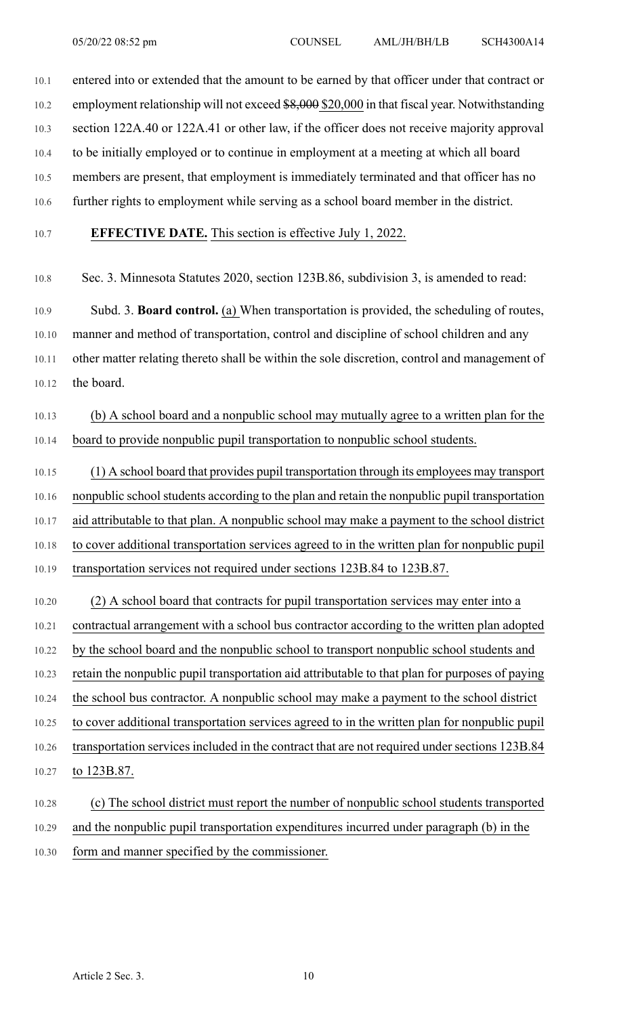10.1 entered into or extended that the amount to be earned by that officer under that contract or

10.2 employment relationship will not exceed \$8,000 \$20,000 in that fiscal year. Notwithstanding

10.3 section 122A.40 or 122A.41 or other law, if the officer does not receive majority approval

10.4 to be initially employed or to continue in employment at a meeting at which all board

10.5 members are present, that employment is immediately terminated and that officer has no

10.6 further rights to employment while serving as a school board member in the district.

#### 10.7 **EFFECTIVE DATE.** This section is effective July 1, 2022.

10.8 Sec. 3. Minnesota Statutes 2020, section 123B.86, subdivision 3, is amended to read:

10.9 Subd. 3. **Board control.** (a) When transportation is provided, the scheduling of routes, 10.10 manner and method of transportation, control and discipline of school children and any 10.11 other matter relating thereto shall be within the sole discretion, control and management of 10.12 the board.

10.13 (b) A school board and a nonpublic school may mutually agree to a written plan for the 10.14 board to provide nonpublic pupil transportation to nonpublic school students.

10.15 (1) A school board that provides pupil transportation through its employees may transport 10.16 nonpublic school students according to the plan and retain the nonpublic pupil transportation 10.17 aid attributable to that plan. A nonpublic school may make a payment to the school district 10.18 to cover additional transportation services agreed to in the written plan for nonpublic pupil 10.19 transportation services not required under sections 123B.84 to 123B.87.

10.20 (2) A school board that contracts for pupil transportation services may enter into a 10.21 contractual arrangement with a school bus contractor according to the written plan adopted 10.22 by the school board and the nonpublic school to transport nonpublic school students and 10.23 retain the nonpublic pupil transportation aid attributable to that plan for purposes of paying 10.24 the school bus contractor. A nonpublic school may make a payment to the school district 10.25 to cover additional transportation services agreed to in the written plan for nonpublic pupil 10.26 transportation services included in the contract that are not required under sections 123B.84 10.27 to 123B.87. 10.28 (c) The school district must report the number of nonpublic school students transported

10.29 and the nonpublic pupil transportation expenditures incurred under paragraph (b) in the

10.30 form and manner specified by the commissioner.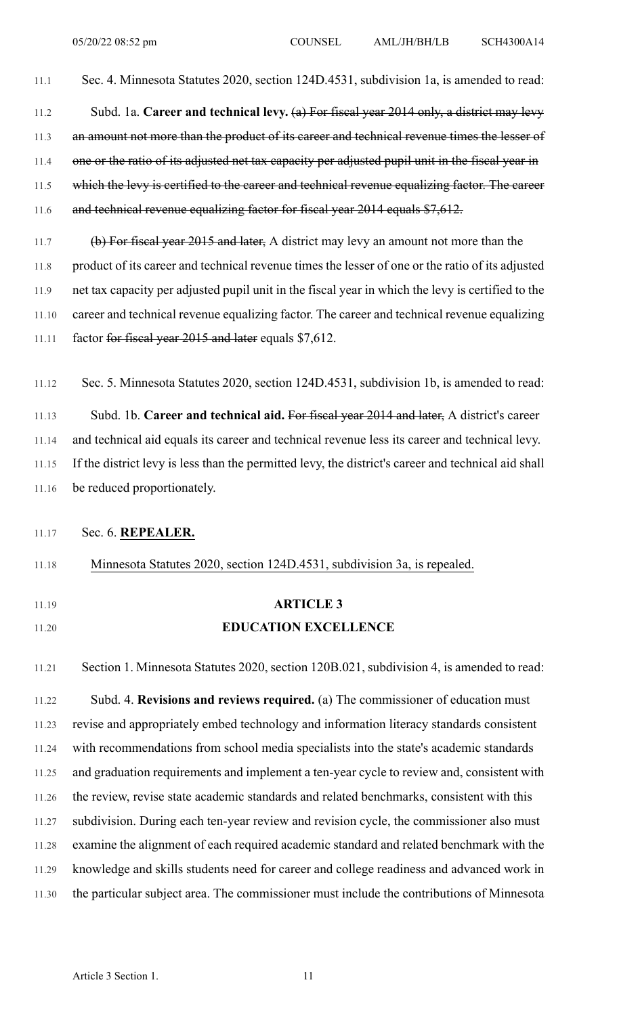11.1 Sec. 4. Minnesota Statutes 2020, section 124D.4531, subdivision 1a, is amended to read: 11.2 Subd. 1a. **Career and technical levy.** (a) For fiscal year 2014 only, a district may levy 11.3 an amount not more than the product of its career and technical revenue times the lesser of 11.4 one or the ratio of its adjusted net tax capacity per adjusted pupil unit in the fiscal year in 11.5 which the levy is certified to the career and technical revenue equalizing factor. The career 11.6 and technical revenue equalizing factor for fiscal year 2014 equals \$7,612.

11.7 (b) For fiscal year 2015 and later, A district may levy an amount not more than the 11.8 product of its career and technical revenue times the lesser of one or the ratio of its adjusted 11.9 net tax capacity per adjusted pupil unit in the fiscal year in which the levy is certified to the 11.10 career and technical revenue equalizing factor. The career and technical revenue equalizing 11.11 factor for fiscal year 2015 and later equals \$7,612.

11.12 Sec. 5. Minnesota Statutes 2020, section 124D.4531, subdivision 1b, is amended to read: 11.13 Subd. 1b. **Career and technical aid.** For fiscal year 2014 and later, A district's career 11.14 and technical aid equals its career and technical revenue less its career and technical levy. 11.15 If the district levy is less than the permitted levy, the district's career and technical aid shall 11.16 be reduced proportionately.

#### 11.17 Sec. 6. **REPEALER.**

11.18 Minnesota Statutes 2020, section 124D.4531, subdivision 3a, is repealed.

- 
- 

# 11.19 **ARTICLE 3** 11.20 **EDUCATION EXCELLENCE**

11.21 Section 1. Minnesota Statutes 2020, section 120B.021, subdivision 4, is amended to read: 11.22 Subd. 4. **Revisions and reviews required.** (a) The commissioner of education must 11.23 revise and appropriately embed technology and information literacy standards consistent 11.24 with recommendations from school media specialists into the state's academic standards 11.25 and graduation requirements and implement a ten-year cycle to review and, consistent with 11.26 the review, revise state academic standards and related benchmarks, consistent with this 11.27 subdivision. During each ten-year review and revision cycle, the commissioner also must 11.28 examine the alignment of each required academic standard and related benchmark with the 11.29 knowledge and skills students need for career and college readiness and advanced work in 11.30 the particular subject area. The commissioner must include the contributions of Minnesota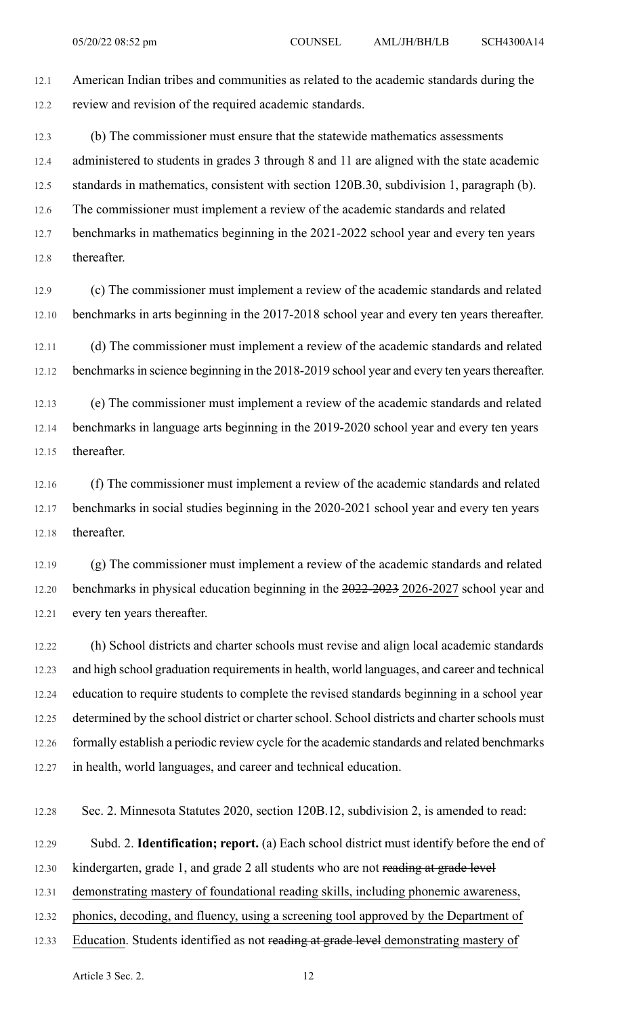12.1 American Indian tribes and communities as related to the academic standards during the 12.2 review and revision of the required academic standards.

12.3 (b) The commissioner must ensure that the statewide mathematics assessments 12.4 administered to students in grades 3 through 8 and 11 are aligned with the state academic 12.5 standards in mathematics, consistent with section 120B.30, subdivision 1, paragraph (b). 12.6 The commissioner must implement a review of the academic standards and related 12.7 benchmarks in mathematics beginning in the 2021-2022 school year and every ten years

12.8 thereafter.

12.9 (c) The commissioner must implement a review of the academic standards and related 12.10 benchmarks in arts beginning in the 2017-2018 school year and every ten years thereafter.

12.11 (d) The commissioner must implement a review of the academic standards and related 12.12 benchmarks in science beginning in the 2018-2019 school year and every ten years thereafter.

12.13 (e) The commissioner must implement a review of the academic standards and related 12.14 benchmarks in language arts beginning in the 2019-2020 school year and every ten years 12.15 thereafter.

12.16 (f) The commissioner must implement a review of the academic standards and related 12.17 benchmarks in social studies beginning in the 2020-2021 school year and every ten years 12.18 thereafter.

12.19 (g) The commissioner must implement a review of the academic standards and related 12.20 benchmarks in physical education beginning in the 2022-2023 2026-2027 school year and 12.21 every ten years thereafter.

12.22 (h) School districts and charter schools must revise and align local academic standards 12.23 and high school graduation requirements in health, world languages, and career and technical 12.24 education to require students to complete the revised standards beginning in a school year 12.25 determined by the school district or charter school. School districts and charter schools must 12.26 formally establish a periodic review cycle for the academic standards and related benchmarks 12.27 in health, world languages, and career and technical education.

12.28 Sec. 2. Minnesota Statutes 2020, section 120B.12, subdivision 2, is amended to read:

12.29 Subd. 2. **Identification; report.** (a) Each school district must identify before the end of

12.30 kindergarten, grade 1, and grade 2 all students who are not reading at grade level

12.31 demonstrating mastery of foundational reading skills, including phonemic awareness,

12.32 phonics, decoding, and fluency, using a screening tool approved by the Department of

12.33 Education. Students identified as not reading at grade level demonstrating mastery of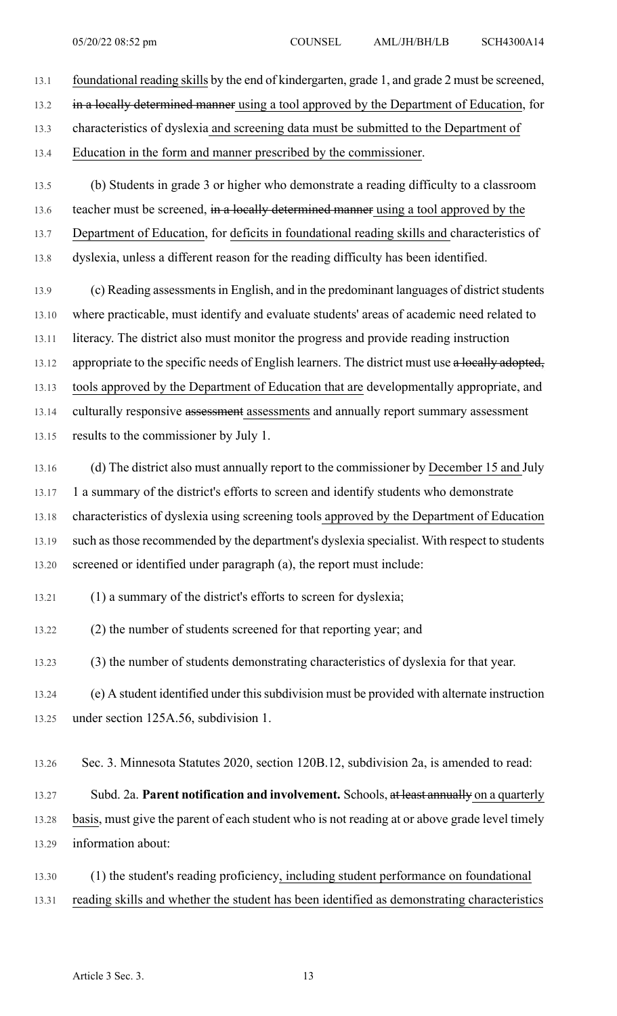13.1 foundational reading skills by the end of kindergarten, grade 1, and grade 2 must be screened, 13.2 in a locally determined manner using a tool approved by the Department of Education, for 13.3 characteristics of dyslexia and screening data must be submitted to the Department of 13.4 Education in the form and manner prescribed by the commissioner.

13.5 (b) Students in grade 3 or higher who demonstrate a reading difficulty to a classroom 13.6 teacher must be screened, in a locally determined manner using a tool approved by the 13.7 Department of Education, for deficits in foundational reading skills and characteristics of 13.8 dyslexia, unless a different reason for the reading difficulty has been identified.

13.9 (c) Reading assessments in English, and in the predominant languages of district students 13.10 where practicable, must identify and evaluate students' areas of academic need related to 13.11 literacy. The district also must monitor the progress and provide reading instruction 13.12 appropriate to the specific needs of English learners. The district must use a locally adopted, 13.13 tools approved by the Department of Education that are developmentally appropriate, and 13.14 culturally responsive assessment assessments and annually report summary assessment 13.15 results to the commissioner by July 1.

13.16 (d) The district also must annually report to the commissioner by December 15 and July 13.17 1 a summary of the district's efforts to screen and identify students who demonstrate 13.18 characteristics of dyslexia using screening tools approved by the Department of Education 13.19 such as those recommended by the department's dyslexia specialist. With respect to students 13.20 screened or identified under paragraph (a), the report must include:

13.21 (1) a summary of the district's efforts to screen for dyslexia;

13.22 (2) the number of students screened for that reporting year; and

13.23 (3) the number of students demonstrating characteristics of dyslexia for that year.

13.24 (e) A student identified under thissubdivision must be provided with alternate instruction 13.25 under section 125A.56, subdivision 1.

13.26 Sec. 3. Minnesota Statutes 2020, section 120B.12, subdivision 2a, is amended to read:

13.27 Subd. 2a. **Parent notification and involvement.** Schools, at least annually on a quarterly 13.28 basis, must give the parent of each student who is not reading at or above grade level timely 13.29 information about:

13.30 (1) the student's reading proficiency, including student performance on foundational 13.31 reading skills and whether the student has been identified as demonstrating characteristics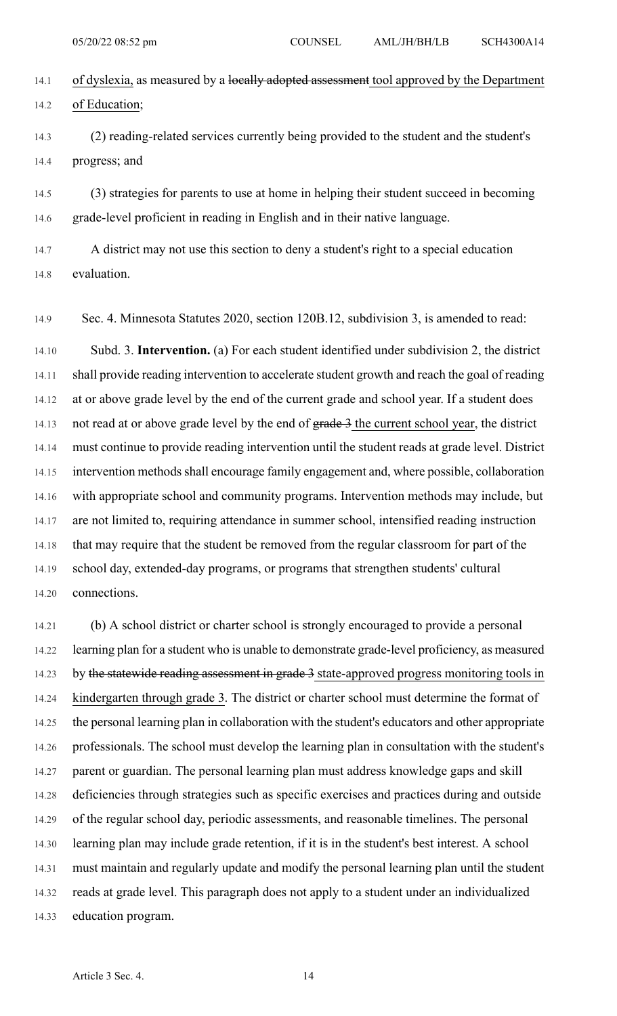- 14.1 of dyslexia, as measured by a locally adopted assessment tool approved by the Department 14.2 of Education;
- 14.3 (2) reading-related services currently being provided to the student and the student's 14.4 progress; and

14.5 (3) strategies for parents to use at home in helping their student succeed in becoming 14.6 grade-level proficient in reading in English and in their native language.

14.7 A district may not use this section to deny a student's right to a special education 14.8 evaluation.

14.9 Sec. 4. Minnesota Statutes 2020, section 120B.12, subdivision 3, is amended to read:

14.10 Subd. 3. **Intervention.** (a) For each student identified under subdivision 2, the district 14.11 shall provide reading intervention to accelerate student growth and reach the goal of reading 14.12 at or above grade level by the end of the current grade and school year. If a student does 14.13 not read at or above grade level by the end of grade 3 the current school year, the district 14.14 must continue to provide reading intervention until the student reads at grade level. District 14.15 intervention methods shall encourage family engagement and, where possible, collaboration 14.16 with appropriate school and community programs. Intervention methods may include, but 14.17 are not limited to, requiring attendance in summer school, intensified reading instruction 14.18 that may require that the student be removed from the regular classroom for part of the 14.19 school day, extended-day programs, or programs that strengthen students' cultural 14.20 connections.

14.21 (b) A school district or charter school is strongly encouraged to provide a personal 14.22 learning plan for a student who is unable to demonstrate grade-level proficiency, as measured 14.23 by the statewide reading assessment in grade 3 state-approved progress monitoring tools in 14.24 kindergarten through grade 3. The district or charter school must determine the format of 14.25 the personal learning plan in collaboration with the student's educators and other appropriate 14.26 professionals. The school must develop the learning plan in consultation with the student's 14.27 parent or guardian. The personal learning plan must address knowledge gaps and skill 14.28 deficiencies through strategies such as specific exercises and practices during and outside 14.29 of the regular school day, periodic assessments, and reasonable timelines. The personal 14.30 learning plan may include grade retention, if it is in the student's best interest. A school 14.31 must maintain and regularly update and modify the personal learning plan until the student 14.32 reads at grade level. This paragraph does not apply to a student under an individualized 14.33 education program.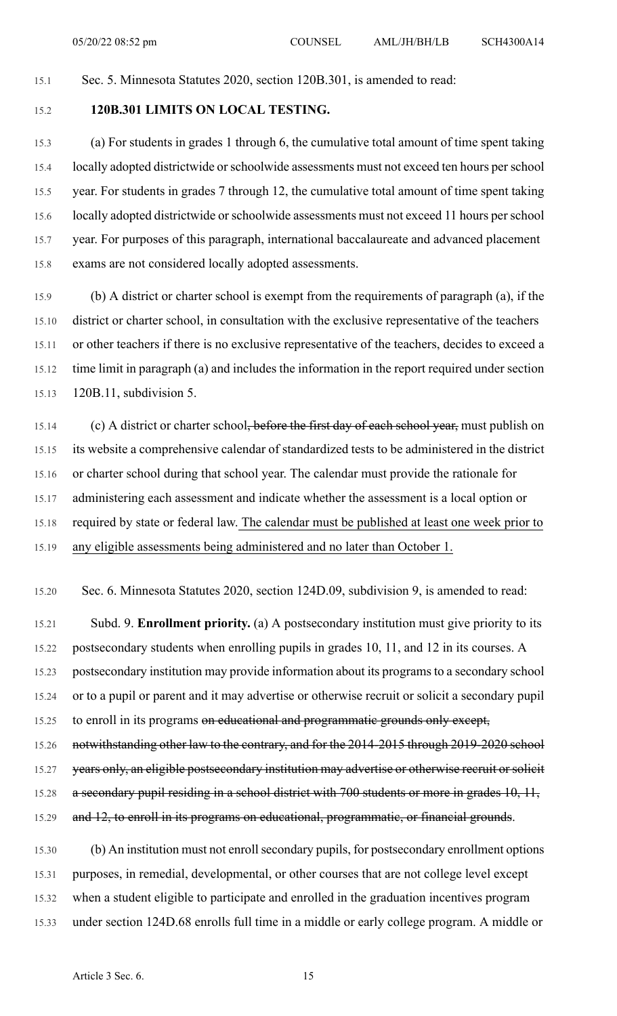# 15.1 Sec. 5. Minnesota Statutes 2020, section 120B.301, is amended to read:

# 15.2 **120B.301 LIMITS ON LOCAL TESTING.**

15.3 (a) For students in grades 1 through 6, the cumulative total amount of time spent taking 15.4 locally adopted districtwide orschoolwide assessments must not exceed ten hours perschool 15.5 year. For students in grades 7 through 12, the cumulative total amount of time spent taking 15.6 locally adopted districtwide orschoolwide assessments must not exceed 11 hours perschool 15.7 year. For purposes of this paragraph, international baccalaureate and advanced placement 15.8 exams are not considered locally adopted assessments.

15.9 (b) A district or charter school is exempt from the requirements of paragraph (a), if the 15.10 district or charter school, in consultation with the exclusive representative of the teachers 15.11 or other teachers if there is no exclusive representative of the teachers, decides to exceed a 15.12 time limit in paragraph (a) and includes the information in the report required under section 15.13 120B.11, subdivision 5.

15.14 (c) A district or charter school, before the first day of each school year, must publish on 15.15 its website a comprehensive calendar of standardized tests to be administered in the district 15.16 or charter school during that school year. The calendar must provide the rationale for 15.17 administering each assessment and indicate whether the assessment is a local option or 15.18 required by state or federal law. The calendar must be published at least one week prior to 15.19 any eligible assessments being administered and no later than October 1.

15.20 Sec. 6. Minnesota Statutes 2020, section 124D.09, subdivision 9, is amended to read:

15.21 Subd. 9. **Enrollment priority.** (a) A postsecondary institution must give priority to its 15.22 postsecondary students when enrolling pupils in grades 10, 11, and 12 in its courses. A 15.23 postsecondary institution may provide information about its programsto a secondary school 15.24 or to a pupil or parent and it may advertise or otherwise recruit or solicit a secondary pupil 15.25 to enroll in its programs on educational and programmatic grounds only except, 15.26 notwithstanding other law to the contrary, and for the 2014-2015 through 2019-2020 school 15.27 years only, an eligible postsecondary institution may advertise or otherwise recruit or solicit 15.28 a secondary pupil residing in a school district with 700 students or more in grades 10, 11, 15.29 and 12, to enroll in its programs on educational, programmatic, or financial grounds.

15.30 (b) An institution must not enroll secondary pupils, for postsecondary enrollment options 15.31 purposes, in remedial, developmental, or other courses that are not college level except 15.32 when a student eligible to participate and enrolled in the graduation incentives program 15.33 under section 124D.68 enrolls full time in a middle or early college program. A middle or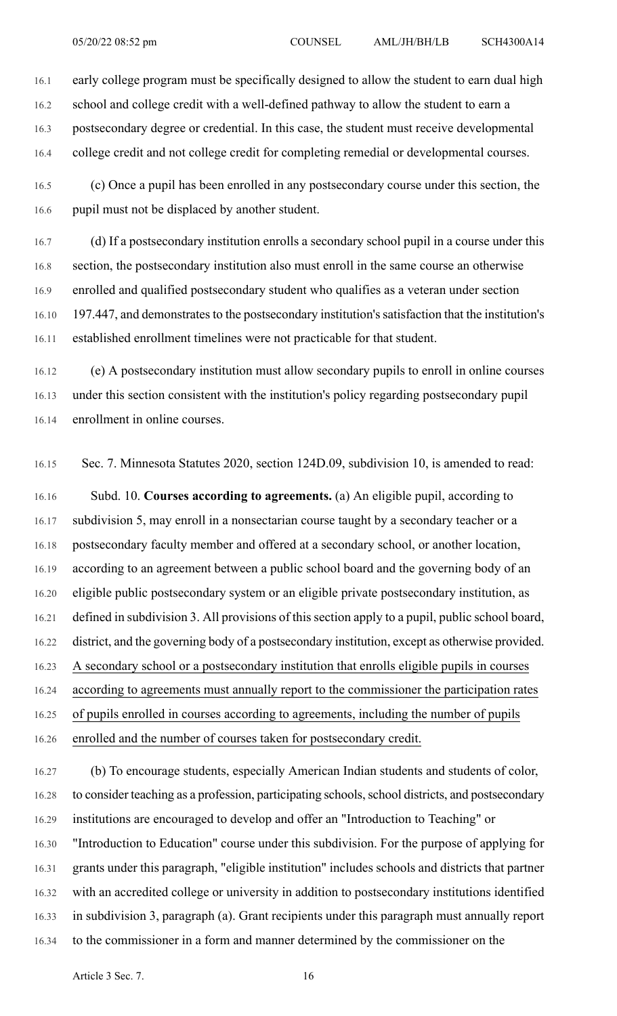16.1 early college program must be specifically designed to allow the student to earn dual high 16.2 school and college credit with a well-defined pathway to allow the student to earn a 16.3 postsecondary degree or credential. In this case, the student must receive developmental 16.4 college credit and not college credit for completing remedial or developmental courses.

16.5 (c) Once a pupil has been enrolled in any postsecondary course under this section, the 16.6 pupil must not be displaced by another student.

16.7 (d) If a postsecondary institution enrolls a secondary school pupil in a course under this 16.8 section, the postsecondary institution also must enroll in the same course an otherwise 16.9 enrolled and qualified postsecondary student who qualifies as a veteran under section 16.10 197.447, and demonstrates to the postsecondary institution's satisfaction that the institution's 16.11 established enrollment timelines were not practicable for that student.

16.12 (e) A postsecondary institution must allow secondary pupils to enroll in online courses 16.13 under this section consistent with the institution's policy regarding postsecondary pupil 16.14 enrollment in online courses.

16.15 Sec. 7. Minnesota Statutes 2020, section 124D.09, subdivision 10, is amended to read:

16.16 Subd. 10. **Courses according to agreements.** (a) An eligible pupil, according to 16.17 subdivision 5, may enroll in a nonsectarian course taught by a secondary teacher or a 16.18 postsecondary faculty member and offered at a secondary school, or another location, 16.19 according to an agreement between a public school board and the governing body of an 16.20 eligible public postsecondary system or an eligible private postsecondary institution, as 16.21 defined in subdivision 3. All provisions of this section apply to a pupil, public school board, 16.22 district, and the governing body of a postsecondary institution, except as otherwise provided. 16.23 A secondary school or a postsecondary institution that enrolls eligible pupils in courses 16.24 according to agreements must annually report to the commissioner the participation rates 16.25 of pupils enrolled in courses according to agreements, including the number of pupils 16.26 enrolled and the number of courses taken for postsecondary credit.

16.27 (b) To encourage students, especially American Indian students and students of color, 16.28 to consider teaching as a profession, participating schools, school districts, and postsecondary 16.29 institutions are encouraged to develop and offer an "Introduction to Teaching" or 16.30 "Introduction to Education" course under this subdivision. For the purpose of applying for 16.31 grants under this paragraph, "eligible institution" includes schools and districts that partner 16.32 with an accredited college or university in addition to postsecondary institutions identified 16.33 in subdivision 3, paragraph (a). Grant recipients under this paragraph must annually report 16.34 to the commissioner in a form and manner determined by the commissioner on the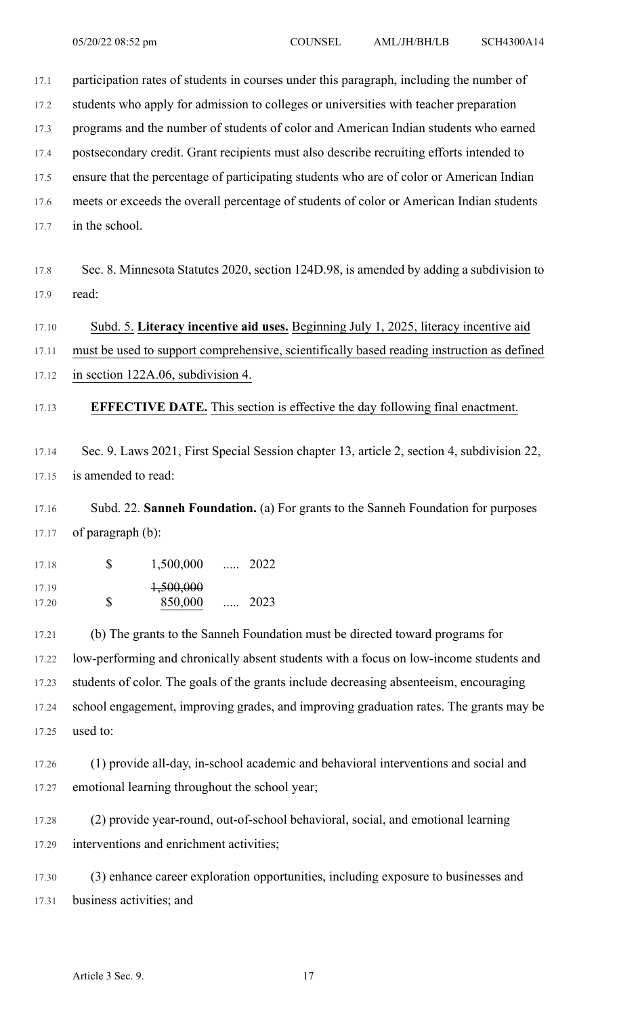17.1 participation rates of students in courses under this paragraph, including the number of

17.2 students who apply for admission to colleges or universities with teacher preparation

17.3 programs and the number of students of color and American Indian students who earned

17.4 postsecondary credit. Grant recipients must also describe recruiting efforts intended to

17.5 ensure that the percentage of participating students who are of color or American Indian

17.6 meets or exceeds the overall percentage of students of color or American Indian students

17.7 in the school.

17.8 Sec. 8. Minnesota Statutes 2020, section 124D.98, is amended by adding a subdivision to 17.9 read:

### 17.10 Subd. 5. **Literacy incentive aid uses.** Beginning July 1, 2025, literacy incentive aid

17.11 must be used to support comprehensive, scientifically based reading instruction as defined 17.12 in section 122A.06, subdivision 4.

17.13 **EFFECTIVE DATE.** This section is effective the day following final enactment.

17.14 Sec. 9. Laws 2021, First Special Session chapter 13, article 2, section 4, subdivision 22, 17.15 is amended to read:

17.16 Subd. 22. **Sanneh Foundation.** (a) For grants to the Sanneh Foundation for purposes 17.17 of paragraph (b):

| 17.18 |   | 1,500,000 |          | $\cdots$ 2022 |
|-------|---|-----------|----------|---------------|
| 17.19 |   | 1,500,000 |          |               |
| 17.20 | S | 850,000   | $\cdots$ | 2023          |

17.21 (b) The grants to the Sanneh Foundation must be directed toward programs for 17.22 low-performing and chronically absent students with a focus on low-income students and 17.23 students of color. The goals of the grants include decreasing absenteeism, encouraging 17.24 school engagement, improving grades, and improving graduation rates. The grants may be 17.25 used to:

17.26 (1) provide all-day, in-school academic and behavioral interventions and social and 17.27 emotional learning throughout the school year;

17.28 (2) provide year-round, out-of-school behavioral, social, and emotional learning 17.29 interventions and enrichment activities;

17.30 (3) enhance career exploration opportunities, including exposure to businesses and 17.31 business activities; and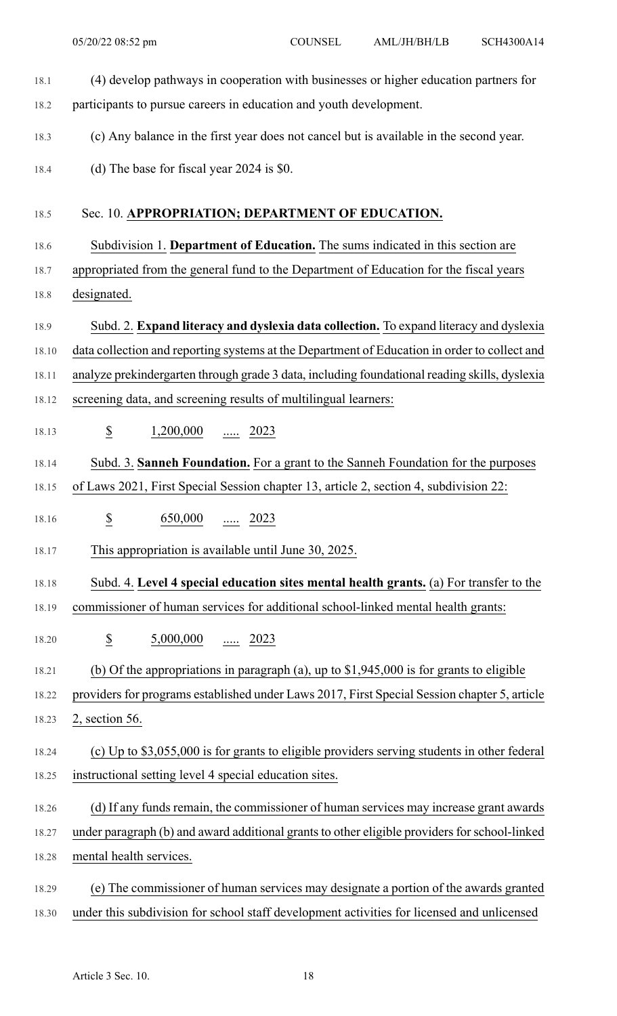18.1 (4) develop pathways in cooperation with businesses or higher education partners for 18.2 participants to pursue careers in education and youth development. 18.3 (c) Any balance in the first year does not cancel but is available in the second year. 18.4 (d) The base for fiscal year 2024 is \$0. 18.5 Sec. 10. **APPROPRIATION; DEPARTMENT OF EDUCATION.** 18.6 Subdivision 1. **Department of Education.** The sums indicated in this section are 18.7 appropriated from the general fund to the Department of Education for the fiscal years 18.8 designated. 18.9 Subd. 2. **Expand literacy and dyslexia data collection.** To expand literacy and dyslexia 18.10 data collection and reporting systems at the Department of Education in order to collect and 18.11 analyze prekindergarten through grade 3 data, including foundational reading skills, dyslexia 18.12 screening data, and screening results of multilingual learners: 18.13 **\$** 1,200,000 ..... 2023 18.14 Subd. 3. **Sanneh Foundation.** For a grant to the Sanneh Foundation for the purposes 18.15 of Laws 2021, First Special Session chapter 13, article 2, section 4, subdivision 22: 18.16 \$ 650,000 ..... 2023 18.17 This appropriation is available until June 30, 2025. 18.18 Subd. 4. **Level 4 special education sites mental health grants.** (a) For transfer to the 18.19 commissioner of human services for additional school-linked mental health grants: 18.20 \$ 5,000,000 ..... 2023 18.21 (b) Of the appropriations in paragraph (a), up to \$1,945,000 is for grants to eligible 18.22 providers for programs established under Laws 2017, First Special Session chapter 5, article 18.23 2, section 56. 18.24 (c) Up to \$3,055,000 is for grants to eligible providers serving students in other federal 18.25 instructional setting level 4 special education sites. 18.26 (d) If any funds remain, the commissioner of human services may increase grant awards 18.27 under paragraph (b) and award additional grants to other eligible providers for school-linked 18.28 mental health services. 18.29 (e) The commissioner of human services may designate a portion of the awards granted

18.30 under this subdivision for school staff development activities for licensed and unlicensed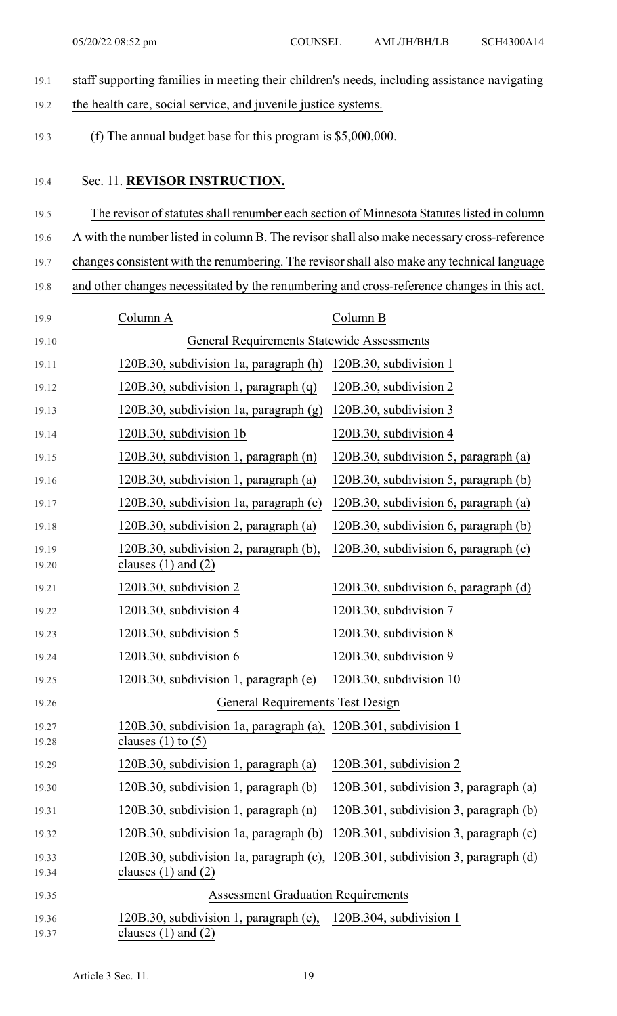19.1 staff supporting families in meeting their children's needs, including assistance navigating 19.2 the health care, social service, and juvenile justice systems. 19.3 (f) The annual budget base for this program is \$5,000,000. 19.4 Sec. 11. **REVISOR INSTRUCTION.** 19.5 The revisor of statutes shall renumber each section of Minnesota Statutes listed in column 19.6 A with the number listed in column B. The revisorshall also make necessary cross-reference 19.7 changes consistent with the renumbering. The revisorshall also make any technical language 19.8 and other changes necessitated by the renumbering and cross-reference changes in this act. 19.9 Column A Column B 19.10 General Requirements Statewide Assessments 19.11 120B.30, subdivision 1a, paragraph (h) 120B.30, subdivision 1 19.12 120B.30, subdivision 1, paragraph (q) 120B.30, subdivision 2 19.13 120B.30, subdivision 1a, paragraph (g) 120B.30, subdivision 3 19.14 120B.30, subdivision 1b 120B.30, subdivision 4 19.15 120B.30, subdivision 1, paragraph (n) 120B.30, subdivision 5, paragraph (a) 19.16 120B.30, subdivision 1, paragraph (a) 120B.30, subdivision 5, paragraph (b) 19.17 120B.30, subdivision 1a, paragraph (e) 120B.30, subdivision 6, paragraph (a) 19.18 120B.30, subdivision 2, paragraph (a) 120B.30, subdivision 6, paragraph (b) 19.19 120B.30, subdivision 2, paragraph (b), 120B.30, subdivision 6, paragraph (c) 19.20 **clauses (1) and (2)** 19.21 120B.30, subdivision 2 120B.30, subdivision 6, paragraph (d) 19.22 120B.30, subdivision 4 120B.30, subdivision 7 19.23 120B.30, subdivision 5 120B.30, subdivision 8 19.24 120B.30, subdivision 6 120B.30, subdivision 9 19.25 120B.30, subdivision 1, paragraph (e) 120B.30, subdivision 10 19.26 General Requirements Test Design 19.27 120B.30, subdivision 1a, paragraph (a), 120B.301, subdivision 1 19.28 clauses (1) to (5) 19.29 120B.30, subdivision 1, paragraph (a) 120B.301, subdivision 2 19.30 120B.30, subdivision 1, paragraph (b) 120B.301, subdivision 3, paragraph (a) 19.31 120B.30, subdivision 1, paragraph (n) 120B.301, subdivision 3, paragraph (b) 19.32 120B.30, subdivision 1a, paragraph (b) 120B.301, subdivision 3, paragraph (c) 19.33 120B.30, subdivision 1a, paragraph (c), 120B.301, subdivision 3, paragraph (d) 19.34 clauses (1) and (2) 19.35 Assessment Graduation Requirements 19.36 120B.30, subdivision 1, paragraph (c), 120B.304, subdivision 1 19.37 clauses (1) and (2)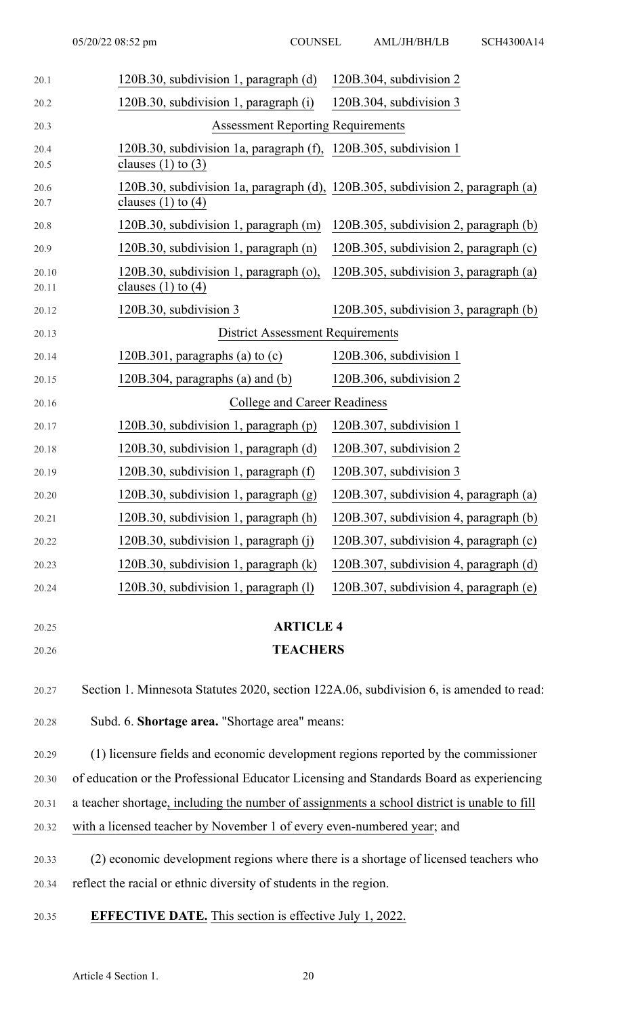| 20.1           | 120B.30, subdivision 1, paragraph (d)                                                                    | 120B.304, subdivision 2                |  |  |  |  |
|----------------|----------------------------------------------------------------------------------------------------------|----------------------------------------|--|--|--|--|
| 20.2           | 120B.30, subdivision 1, paragraph (i)                                                                    | 120B.304, subdivision 3                |  |  |  |  |
| 20.3           | <b>Assessment Reporting Requirements</b>                                                                 |                                        |  |  |  |  |
| 20.4<br>20.5   | 120B.30, subdivision 1a, paragraph (f), 120B.305, subdivision 1<br>clauses $(1)$ to $(3)$                |                                        |  |  |  |  |
| 20.6<br>20.7   | 120B.30, subdivision 1a, paragraph (d), 120B.305, subdivision 2, paragraph (a)<br>clauses $(1)$ to $(4)$ |                                        |  |  |  |  |
| 20.8           | 120B.30, subdivision 1, paragraph (m)                                                                    | 120B.305, subdivision 2, paragraph (b) |  |  |  |  |
| 20.9           | 120B.30, subdivision 1, paragraph (n)                                                                    | 120B.305, subdivision 2, paragraph (c) |  |  |  |  |
| 20.10<br>20.11 | 120B.30, subdivision 1, paragraph (o),<br>clauses $(1)$ to $(4)$                                         | 120B.305, subdivision 3, paragraph (a) |  |  |  |  |
| 20.12          | 120B.30, subdivision 3                                                                                   | 120B.305, subdivision 3, paragraph (b) |  |  |  |  |
| 20.13          | <b>District Assessment Requirements</b>                                                                  |                                        |  |  |  |  |
| 20.14          | 120B.301, paragraphs (a) to $(c)$                                                                        | 120B.306, subdivision 1                |  |  |  |  |
| 20.15          | $120B.304$ , paragraphs (a) and (b)                                                                      | 120B.306, subdivision 2                |  |  |  |  |
| 20.16          | <b>College and Career Readiness</b>                                                                      |                                        |  |  |  |  |
| 20.17          | $120B.30$ , subdivision 1, paragraph (p)                                                                 | 120B.307, subdivision 1                |  |  |  |  |
| 20.18          | 120B.30, subdivision 1, paragraph (d)                                                                    | 120B.307, subdivision 2                |  |  |  |  |
| 20.19          | 120B.30, subdivision 1, paragraph (f)                                                                    | $120B.307$ , subdivision 3             |  |  |  |  |
| 20.20          | 120B.30, subdivision 1, paragraph (g)                                                                    | 120B.307, subdivision 4, paragraph (a) |  |  |  |  |
| 20.21          | 120B.30, subdivision 1, paragraph (h)                                                                    | 120B.307, subdivision 4, paragraph (b) |  |  |  |  |
| 20.22          | 120B.30, subdivision 1, paragraph (j)                                                                    | 120B.307, subdivision 4, paragraph (c) |  |  |  |  |
| 20.23          | 120B.30, subdivision 1, paragraph (k)                                                                    | 120B.307, subdivision 4, paragraph (d) |  |  |  |  |
| 20.24          | 120B.30, subdivision 1, paragraph (1)                                                                    | 120B.307, subdivision 4, paragraph (e) |  |  |  |  |
| 20.25          | <b>ARTICLE 4</b>                                                                                         |                                        |  |  |  |  |
| 20.26          | <b>TEACHERS</b>                                                                                          |                                        |  |  |  |  |
| 20.27          | Section 1. Minnesota Statutes 2020, section 122A.06, subdivision 6, is amended to read:                  |                                        |  |  |  |  |
| 20.28          | Subd. 6. Shortage area. "Shortage area" means:                                                           |                                        |  |  |  |  |
| 20.29          | (1) licensure fields and economic development regions reported by the commissioner                       |                                        |  |  |  |  |
| 20.30          | of education or the Professional Educator Licensing and Standards Board as experiencing                  |                                        |  |  |  |  |
| 20.31          | a teacher shortage, including the number of assignments a school district is unable to fill              |                                        |  |  |  |  |

- 20.32 with a licensed teacher by November 1 of every even-numbered year; and
- 20.33 (2) economic development regions where there is a shortage of licensed teachers who 20.34 reflect the racial or ethnic diversity of students in the region.
- 20.35 **EFFECTIVE DATE.** This section is effective July 1, 2022.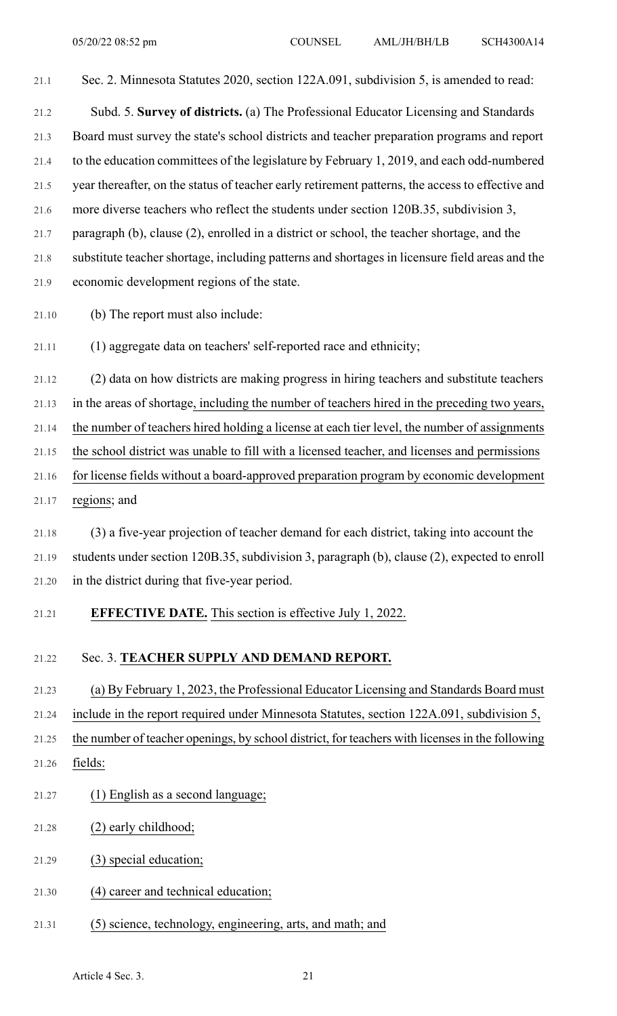21.1 Sec. 2. Minnesota Statutes 2020, section 122A.091, subdivision 5, is amended to read: 21.2 Subd. 5. **Survey of districts.** (a) The Professional Educator Licensing and Standards

21.3 Board must survey the state's school districts and teacher preparation programs and report 21.4 to the education committees of the legislature by February 1, 2019, and each odd-numbered 21.5 year thereafter, on the status of teacher early retirement patterns, the access to effective and 21.6 more diverse teachers who reflect the students under section 120B.35, subdivision 3, 21.7 paragraph (b), clause (2), enrolled in a district or school, the teacher shortage, and the 21.8 substitute teacher shortage, including patterns and shortages in licensure field areas and the 21.9 economic development regions of the state.

- 21.10 (b) The report must also include:
- 21.11 (1) aggregate data on teachers' self-reported race and ethnicity;

21.12 (2) data on how districts are making progress in hiring teachers and substitute teachers

21.13 in the areas of shortage, including the number of teachers hired in the preceding two years,

21.14 the number of teachers hired holding a license at each tier level, the number of assignments

21.15 the school district was unable to fill with a licensed teacher, and licenses and permissions

21.16 for license fields without a board-approved preparation program by economic development

21.17 regions; and

21.18 (3) a five-year projection of teacher demand for each district, taking into account the 21.19 students under section 120B.35, subdivision 3, paragraph (b), clause (2), expected to enroll 21.20 in the district during that five-year period.

21.21 **EFFECTIVE DATE.** This section is effective July 1, 2022.

#### 21.22 Sec. 3. **TEACHER SUPPLY AND DEMAND REPORT.**

21.23 (a) By February 1, 2023, the Professional Educator Licensing and Standards Board must

21.24 include in the report required under Minnesota Statutes, section 122A.091, subdivision 5,

21.25 the number of teacher openings, by school district, for teachers with licensesin the following

- 21.26 fields:
- 21.27 (1) English as a second language;
- 21.28 (2) early childhood;
- 21.29 (3) special education;
- 21.30 (4) career and technical education;
- 21.31 (5) science, technology, engineering, arts, and math; and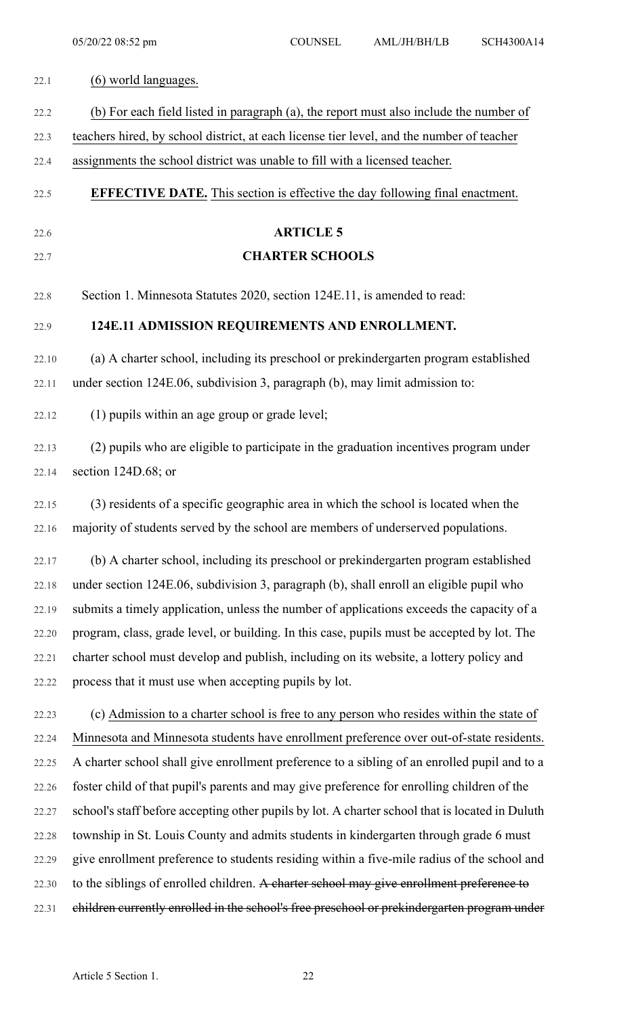| 22.1  | (6) world languages.                                                                            |
|-------|-------------------------------------------------------------------------------------------------|
| 22.2  | (b) For each field listed in paragraph (a), the report must also include the number of          |
| 22.3  | teachers hired, by school district, at each license tier level, and the number of teacher       |
| 22.4  | assignments the school district was unable to fill with a licensed teacher.                     |
| 22.5  | <b>EFFECTIVE DATE.</b> This section is effective the day following final enactment.             |
| 22.6  | <b>ARTICLE 5</b>                                                                                |
| 22.7  | <b>CHARTER SCHOOLS</b>                                                                          |
| 22.8  | Section 1. Minnesota Statutes 2020, section 124E.11, is amended to read:                        |
| 22.9  | 124E.11 ADMISSION REQUIREMENTS AND ENROLLMENT.                                                  |
| 22.10 | (a) A charter school, including its preschool or prekindergarten program established            |
| 22.11 | under section 124E.06, subdivision 3, paragraph (b), may limit admission to:                    |
| 22.12 | (1) pupils within an age group or grade level;                                                  |
| 22.13 | (2) pupils who are eligible to participate in the graduation incentives program under           |
| 22.14 | section 124D.68; or                                                                             |
| 22.15 | (3) residents of a specific geographic area in which the school is located when the             |
|       | 22.16 majority of students served by the school are members of underserved populations.         |
| 22.17 | (b) A charter school, including its preschool or prekindergarten program established            |
| 22.18 | under section 124E.06, subdivision 3, paragraph (b), shall enroll an eligible pupil who         |
| 22.19 | submits a timely application, unless the number of applications exceeds the capacity of a       |
| 22.20 | program, class, grade level, or building. In this case, pupils must be accepted by lot. The     |
| 22.21 | charter school must develop and publish, including on its website, a lottery policy and         |
| 22.22 | process that it must use when accepting pupils by lot.                                          |
| 22.23 | (c) Admission to a charter school is free to any person who resides within the state of         |
| 22.24 | Minnesota and Minnesota students have enrollment preference over out-of-state residents.        |
| 22.25 | A charter school shall give enrollment preference to a sibling of an enrolled pupil and to a    |
| 22.26 | foster child of that pupil's parents and may give preference for enrolling children of the      |
| 22.27 | school's staff before accepting other pupils by lot. A charter school that is located in Duluth |
| 22.28 | township in St. Louis County and admits students in kindergarten through grade 6 must           |
| 22.29 | give enrollment preference to students residing within a five-mile radius of the school and     |
| 22.30 | to the siblings of enrolled children. A charter school may give enrollment preference to        |
| 22.31 | children currently enrolled in the school's free preschool or prekindergarten program under     |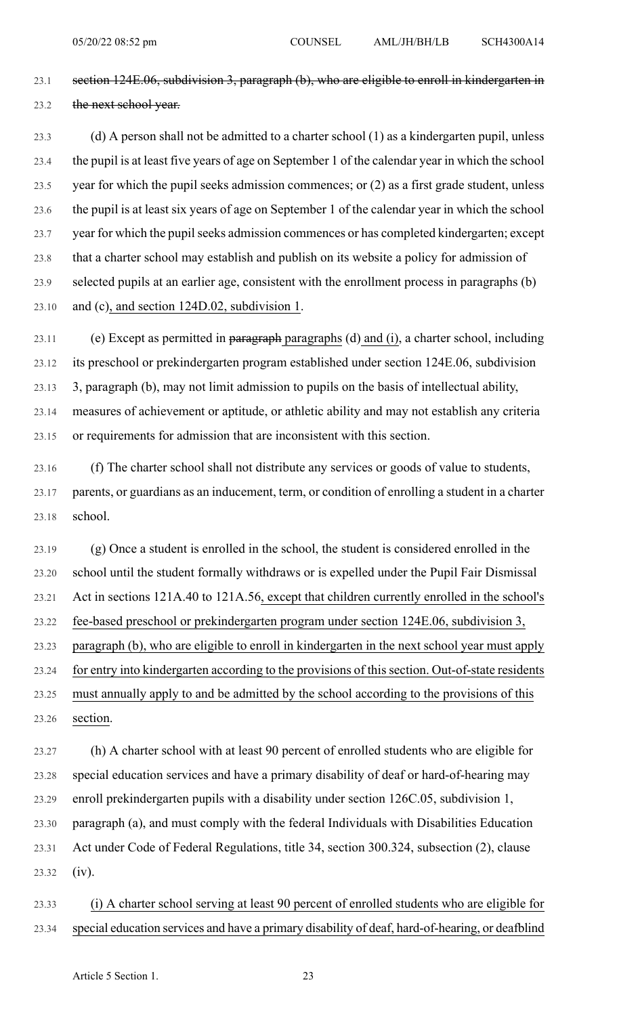23.1 section 124E.06, subdivision 3, paragraph (b), who are eligible to enroll in kindergarten in 23.2 the next school year.

23.3 (d) A person shall not be admitted to a charter school (1) as a kindergarten pupil, unless 23.4 the pupil is at least five years of age on September 1 of the calendar year in which the school 23.5 year for which the pupil seeks admission commences; or (2) as a first grade student, unless 23.6 the pupil is at least six years of age on September 1 of the calendar year in which the school 23.7 year for which the pupil seeks admission commences or has completed kindergarten; except 23.8 that a charter school may establish and publish on its website a policy for admission of 23.9 selected pupils at an earlier age, consistent with the enrollment process in paragraphs (b) 23.10 and (c), and section 124D.02, subdivision 1.

23.11 (e) Except as permitted in paragraph paragraphs (d) and (i), a charter school, including 23.12 its preschool or prekindergarten program established under section 124E.06, subdivision 23.13 3, paragraph (b), may not limit admission to pupils on the basis of intellectual ability, 23.14 measures of achievement or aptitude, or athletic ability and may not establish any criteria 23.15 or requirements for admission that are inconsistent with this section.

23.16 (f) The charter school shall not distribute any services or goods of value to students, 23.17 parents, or guardians as an inducement, term, or condition of enrolling a student in a charter 23.18 school.

23.19 (g) Once a student is enrolled in the school, the student is considered enrolled in the 23.20 school until the student formally withdraws or is expelled under the Pupil Fair Dismissal 23.21 Act in sections 121A.40 to 121A.56, except that children currently enrolled in the school's 23.22 fee-based preschool or prekindergarten program under section 124E.06, subdivision 3, 23.23 paragraph (b), who are eligible to enroll in kindergarten in the next school year must apply 23.24 for entry into kindergarten according to the provisions of this section. Out-of-state residents 23.25 must annually apply to and be admitted by the school according to the provisions of this 23.26 section.

23.27 (h) A charter school with at least 90 percent of enrolled students who are eligible for 23.28 special education services and have a primary disability of deaf or hard-of-hearing may 23.29 enroll prekindergarten pupils with a disability under section 126C.05, subdivision 1, 23.30 paragraph (a), and must comply with the federal Individuals with Disabilities Education 23.31 Act under Code of Federal Regulations, title 34, section 300.324, subsection (2), clause 23.32 (iv).

23.33 (i) A charter school serving at least 90 percent of enrolled students who are eligible for 23.34 special education services and have a primary disability of deaf, hard-of-hearing, or deafblind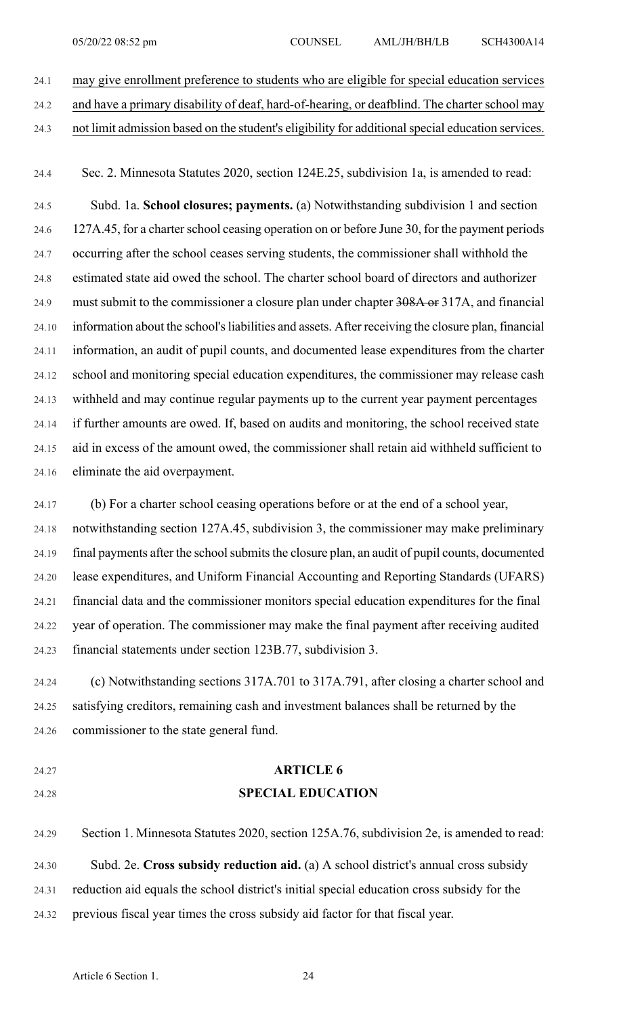24.1 may give enrollment preference to students who are eligible for special education services

- 24.2 and have a primary disability of deaf, hard-of-hearing, or deafblind. The charter school may
- 24.3 not limit admission based on the student's eligibility for additionalspecial education services.

24.4 Sec. 2. Minnesota Statutes 2020, section 124E.25, subdivision 1a, is amended to read:

24.5 Subd. 1a. **School closures; payments.** (a) Notwithstanding subdivision 1 and section 24.6 127A.45, for a charter school ceasing operation on or before June 30, for the payment periods 24.7 occurring after the school ceases serving students, the commissioner shall withhold the 24.8 estimated state aid owed the school. The charter school board of directors and authorizer 24.9 must submit to the commissioner a closure plan under chapter 308A or 317A, and financial 24.10 information about the school's liabilities and assets. After receiving the closure plan, financial 24.11 information, an audit of pupil counts, and documented lease expenditures from the charter 24.12 school and monitoring special education expenditures, the commissioner may release cash 24.13 withheld and may continue regular payments up to the current year payment percentages 24.14 if further amounts are owed. If, based on audits and monitoring, the school received state 24.15 aid in excess of the amount owed, the commissioner shall retain aid withheld sufficient to 24.16 eliminate the aid overpayment.

24.17 (b) For a charter school ceasing operations before or at the end of a school year, 24.18 notwithstanding section 127A.45, subdivision 3, the commissioner may make preliminary 24.19 final payments after the school submits the closure plan, an audit of pupil counts, documented 24.20 lease expenditures, and Uniform Financial Accounting and Reporting Standards (UFARS) 24.21 financial data and the commissioner monitors special education expenditures for the final 24.22 year of operation. The commissioner may make the final payment after receiving audited 24.23 financial statements under section 123B.77, subdivision 3.

24.24 (c) Notwithstanding sections 317A.701 to 317A.791, after closing a charter school and 24.25 satisfying creditors, remaining cash and investment balances shall be returned by the 24.26 commissioner to the state general fund.

- 
- 

# 24.27 **ARTICLE 6** 24.28 **SPECIAL EDUCATION**

24.29 Section 1. Minnesota Statutes 2020, section 125A.76, subdivision 2e, is amended to read: 24.30 Subd. 2e. **Cross subsidy reduction aid.** (a) A school district's annual cross subsidy 24.31 reduction aid equals the school district's initial special education cross subsidy for the 24.32 previous fiscal year times the cross subsidy aid factor for that fiscal year.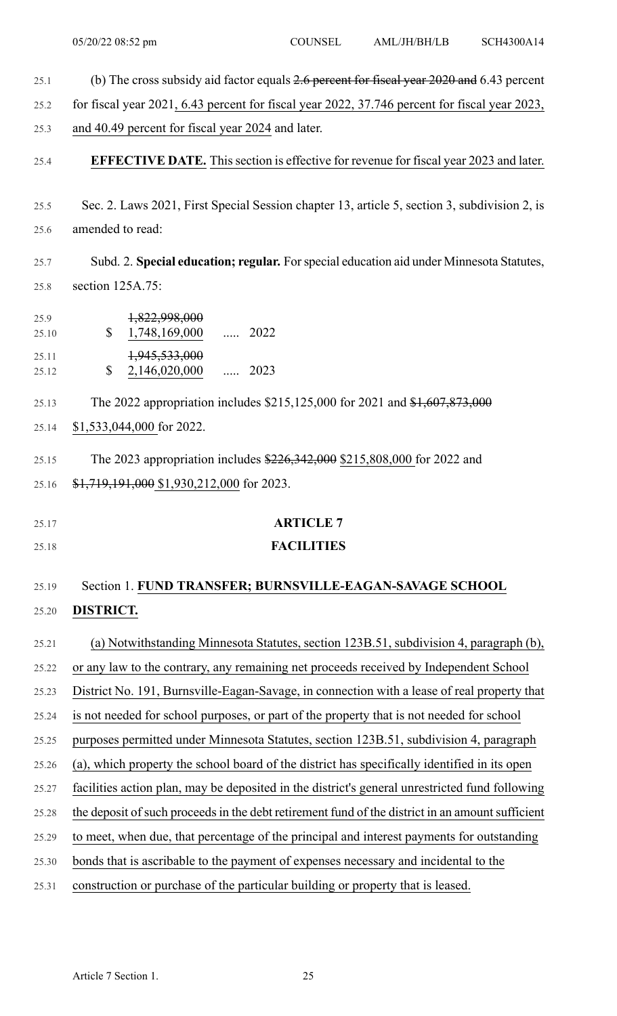- 25.1 (b) The cross subsidy aid factor equals 2.6 percent for fiscal year 2020 and 6.43 percent
- 25.2 for fiscal year 2021, 6.43 percent for fiscal year 2022, 37.746 percent for fiscal year 2023,
- 25.3 and 40.49 percent for fiscal year 2024 and later.
- 25.4 **EFFECTIVE DATE.** Thissection is effective for revenue for fiscal year 2023 and later.
- 25.5 Sec. 2. Laws 2021, First Special Session chapter 13, article 5, section 3, subdivision 2, is 25.6 amended to read:

25.7 Subd. 2. **Special education; regular.** Forspecial education aid under Minnesota Statutes, 25.8 section 125A.75:

..... 2022 25.9 1,822,998,000 25.10 \$ 1,748,169,000 ..... 2023 25.11 1,945,533,000 25.12 \$ 2,146,020,000

25.13 The 2022 appropriation includes \$215,125,000 for 2021 and \$1,607,873,000

25.14 \$1,533,044,000 for 2022.

25.15 The 2023 appropriation includes \$226,342,000 \$215,808,000 for 2022 and 25.16 \$1,719,191,000 \$1,930,212,000 for 2023.

25.17 **ARTICLE 7** 25.18 **FACILITIES**

#### 25.19 Section 1. **FUND TRANSFER; BURNSVILLE-EAGAN-SAVAGE SCHOOL**

### 25.20 **DISTRICT.**

25.21 (a) Notwithstanding Minnesota Statutes, section 123B.51, subdivision 4, paragraph (b), 25.22 or any law to the contrary, any remaining net proceeds received by Independent School 25.23 District No. 191, Burnsville-Eagan-Savage, in connection with a lease of real property that 25.24 is not needed for school purposes, or part of the property that is not needed for school 25.25 purposes permitted under Minnesota Statutes, section 123B.51, subdivision 4, paragraph 25.26 (a), which property the school board of the district has specifically identified in its open 25.27 facilities action plan, may be deposited in the district's general unrestricted fund following 25.28 the deposit of such proceeds in the debt retirement fund of the district in an amount sufficient 25.29 to meet, when due, that percentage of the principal and interest payments for outstanding 25.30 bonds that is ascribable to the payment of expenses necessary and incidental to the 25.31 construction or purchase of the particular building or property that is leased.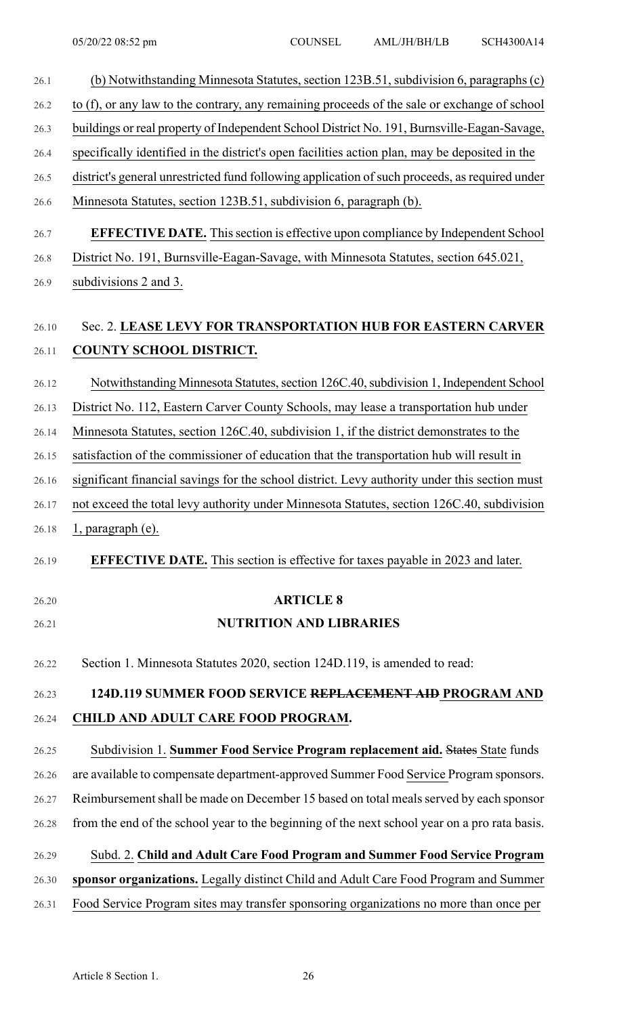| 26.1  | (b) Notwithstanding Minnesota Statutes, section 123B.51, subdivision 6, paragraphs (c)         |
|-------|------------------------------------------------------------------------------------------------|
| 26.2  | to (f), or any law to the contrary, any remaining proceeds of the sale or exchange of school   |
| 26.3  | buildings or real property of Independent School District No. 191, Burnsville-Eagan-Savage,    |
| 26.4  | specifically identified in the district's open facilities action plan, may be deposited in the |
| 26.5  | district's general unrestricted fund following application of such proceeds, as required under |
| 26.6  | Minnesota Statutes, section 123B.51, subdivision 6, paragraph (b).                             |
| 26.7  | <b>EFFECTIVE DATE.</b> This section is effective upon compliance by Independent School         |
| 26.8  | District No. 191, Burnsville-Eagan-Savage, with Minnesota Statutes, section 645.021,           |
| 26.9  | subdivisions 2 and 3.                                                                          |
| 26.10 | Sec. 2. LEASE LEVY FOR TRANSPORTATION HUB FOR EASTERN CARVER                                   |
| 26.11 | <b>COUNTY SCHOOL DISTRICT.</b>                                                                 |
| 26.12 | Notwithstanding Minnesota Statutes, section 126C.40, subdivision 1, Independent School         |
| 26.13 | District No. 112, Eastern Carver County Schools, may lease a transportation hub under          |
| 26.14 | Minnesota Statutes, section 126C.40, subdivision 1, if the district demonstrates to the        |
| 26.15 | satisfaction of the commissioner of education that the transportation hub will result in       |
| 26.16 | significant financial savings for the school district. Levy authority under this section must  |
| 26.17 | not exceed the total levy authority under Minnesota Statutes, section 126C.40, subdivision     |
| 26.18 | 1, paragraph (e).                                                                              |
| 26.19 | <b>EFFECTIVE DATE.</b> This section is effective for taxes payable in 2023 and later.          |
| 26.20 | <b>ARTICLE 8</b>                                                                               |
| 26.21 | <b>NUTRITION AND LIBRARIES</b>                                                                 |
| 26.22 | Section 1. Minnesota Statutes 2020, section 124D.119, is amended to read:                      |
| 26.23 | 124D.119 SUMMER FOOD SERVICE REPLACEMENT AID PROGRAM AND                                       |
| 26.24 | CHILD AND ADULT CARE FOOD PROGRAM.                                                             |
| 26.25 | Subdivision 1. Summer Food Service Program replacement aid. States State funds                 |
| 26.26 | are available to compensate department-approved Summer Food Service Program sponsors.          |
| 26.27 | Reimbursement shall be made on December 15 based on total meals served by each sponsor         |
| 26.28 | from the end of the school year to the beginning of the next school year on a pro rata basis.  |
| 26.29 | Subd. 2. Child and Adult Care Food Program and Summer Food Service Program                     |
| 26.30 | sponsor organizations. Legally distinct Child and Adult Care Food Program and Summer           |
| 26.31 | Food Service Program sites may transfer sponsoring organizations no more than once per         |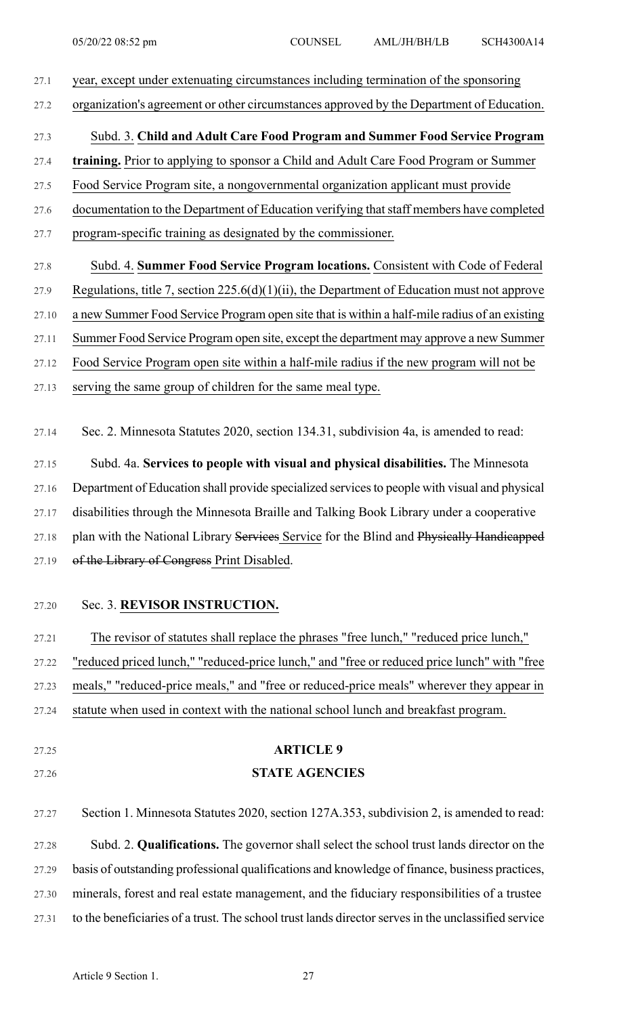- 27.1 year, except under extenuating circumstances including termination of the sponsoring 27.2 organization's agreement or other circumstances approved by the Department of Education. 27.3 Subd. 3. **Child and Adult Care Food Program and Summer Food Service Program** 27.4 **training.** Prior to applying to sponsor a Child and Adult Care Food Program or Summer 27.5 Food Service Program site, a nongovernmental organization applicant must provide 27.6 documentation to the Department of Education verifying that staff members have completed 27.7 program-specific training as designated by the commissioner. 27.8 Subd. 4. **Summer Food Service Program locations.** Consistent with Code of Federal 27.9 Regulations, title 7, section 225.6(d)(1)(ii), the Department of Education must not approve 27.10 a new Summer Food Service Program open site that is within a half-mile radius of an existing 27.11 Summer Food Service Program open site, except the department may approve a new Summer 27.12 Food Service Program open site within a half-mile radius if the new program will not be 27.13 serving the same group of children for the same meal type. 27.14 Sec. 2. Minnesota Statutes 2020, section 134.31, subdivision 4a, is amended to read: 27.15 Subd. 4a. **Services to people with visual and physical disabilities.** The Minnesota 27.16 Department of Education shall provide specialized services to people with visual and physical 27.17 disabilities through the Minnesota Braille and Talking Book Library under a cooperative 27.18 plan with the National Library Services Service for the Blind and Physically Handicapped 27.19 of the Library of Congress Print Disabled. 27.20 Sec. 3. **REVISOR INSTRUCTION.** 27.21 The revisor of statutes shall replace the phrases "free lunch," "reduced price lunch," 27.22 "reduced priced lunch," "reduced-price lunch," and "free or reduced price lunch" with "free 27.23 meals," "reduced-price meals," and "free or reduced-price meals" wherever they appear in 27.24 statute when used in context with the national school lunch and breakfast program. 27.25 **ARTICLE 9** 27.26 **STATE AGENCIES** 27.27 Section 1. Minnesota Statutes 2020, section 127A.353, subdivision 2, is amended to read: 27.28 Subd. 2. **Qualifications.** The governor shall select the school trust lands director on the 27.29 basis of outstanding professional qualifications and knowledge of finance, business practices, 27.30 minerals, forest and real estate management, and the fiduciary responsibilities of a trustee
- 27.31 to the beneficiaries of a trust. The school trust lands directorservesin the unclassified service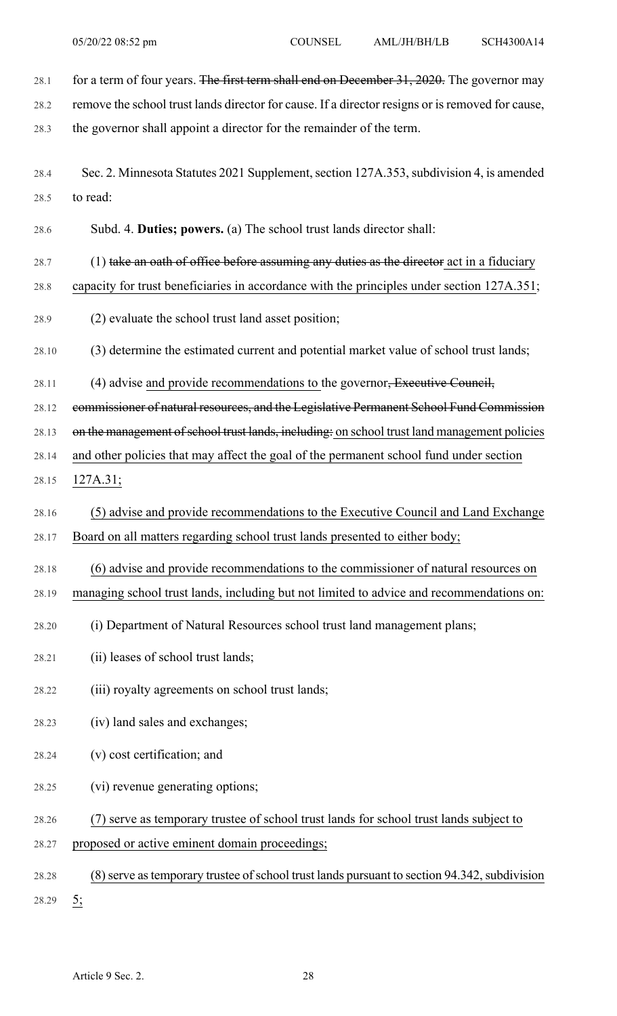28.1 for a term of four years. The first term shall end on December 31, 2020. The governor may 28.2 remove the school trust lands director for cause. If a director resigns or is removed for cause, 28.3 the governor shall appoint a director for the remainder of the term. 28.4 Sec. 2. Minnesota Statutes 2021 Supplement, section 127A.353, subdivision 4, is amended 28.5 to read: 28.6 Subd. 4. **Duties; powers.** (a) The school trust lands director shall: 28.7  $(1)$  take an oath of office before assuming any duties as the director act in a fiduciary 28.8 capacity for trust beneficiaries in accordance with the principles under section 127A.351; 28.9 (2) evaluate the school trust land asset position; 28.10 (3) determine the estimated current and potential market value of school trust lands; 28.11 (4) advise and provide recommendations to the governor, Executive Council, 28.12 commissioner of natural resources, and the Legislative Permanent School Fund Commission 28.13 on the management of school trust lands, including: on school trust land management policies 28.14 and other policies that may affect the goal of the permanent school fund under section 28.15 127A.31; 28.16 (5) advise and provide recommendations to the Executive Council and Land Exchange 28.17 Board on all matters regarding school trust lands presented to either body; 28.18 (6) advise and provide recommendations to the commissioner of natural resources on 28.19 managing school trust lands, including but not limited to advice and recommendations on: 28.20 (i) Department of Natural Resources school trust land management plans; 28.21 (ii) leases of school trust lands; 28.22 (iii) royalty agreements on school trust lands; 28.23 (iv) land sales and exchanges; 28.24 (v) cost certification; and 28.25 (vi) revenue generating options; 28.26 (7) serve as temporary trustee of school trust lands for school trust lands subject to 28.27 proposed or active eminent domain proceedings; 28.28 (8) serve as temporary trustee of school trust lands pursuant to section 94.342, subdivision 28.29 5;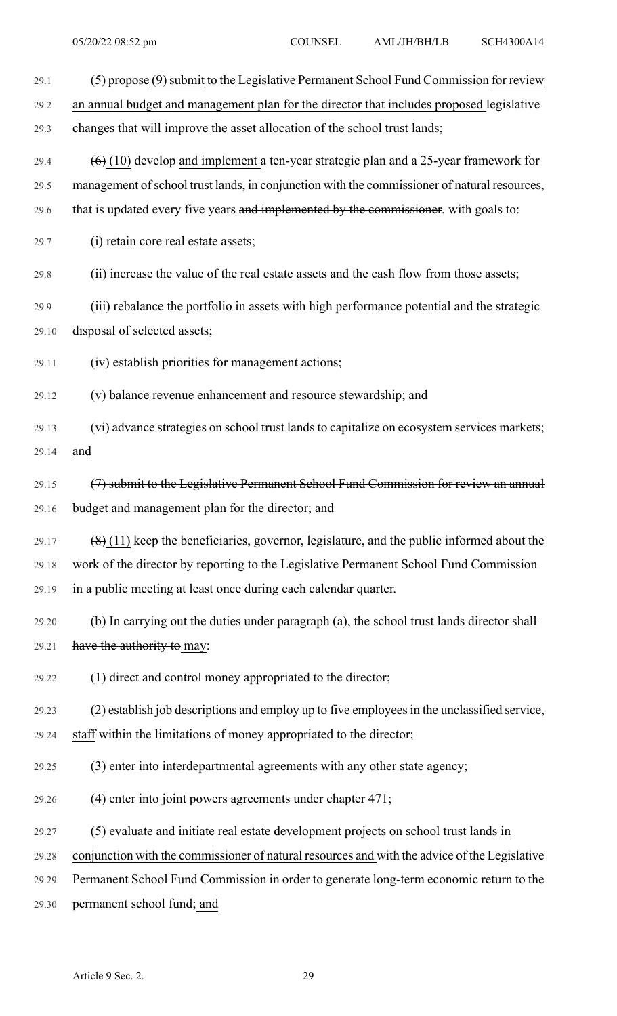| 29.1  | $(5)$ propose (9) submit to the Legislative Permanent School Fund Commission for review       |
|-------|-----------------------------------------------------------------------------------------------|
| 29.2  | an annual budget and management plan for the director that includes proposed legislative      |
| 29.3  | changes that will improve the asset allocation of the school trust lands;                     |
| 29.4  | $(6)$ (10) develop and implement a ten-year strategic plan and a 25-year framework for        |
| 29.5  | management of school trust lands, in conjunction with the commissioner of natural resources,  |
| 29.6  | that is updated every five years and implemented by the commissioner, with goals to:          |
| 29.7  | (i) retain core real estate assets;                                                           |
| 29.8  | (ii) increase the value of the real estate assets and the cash flow from those assets;        |
| 29.9  | (iii) rebalance the portfolio in assets with high performance potential and the strategic     |
| 29.10 | disposal of selected assets;                                                                  |
| 29.11 | (iv) establish priorities for management actions;                                             |
| 29.12 | (v) balance revenue enhancement and resource stewardship; and                                 |
| 29.13 | (vi) advance strategies on school trust lands to capitalize on ecosystem services markets;    |
| 29.14 | and                                                                                           |
| 29.15 | (7) submit to the Legislative Permanent School Fund Commission for review an annual           |
| 29.16 | budget and management plan for the director; and                                              |
| 29.17 | $(8)$ (11) keep the beneficiaries, governor, legislature, and the public informed about the   |
| 29.18 | work of the director by reporting to the Legislative Permanent School Fund Commission         |
| 29.19 | in a public meeting at least once during each calendar quarter.                               |
| 29.20 | (b) In carrying out the duties under paragraph (a), the school trust lands director shall     |
| 29.21 | have the authority to may:                                                                    |
| 29.22 | (1) direct and control money appropriated to the director;                                    |
| 29.23 | $(2)$ establish job descriptions and employ up to five employees in the unclassified service, |
| 29.24 | staff within the limitations of money appropriated to the director;                           |
| 29.25 | (3) enter into interdepartmental agreements with any other state agency;                      |
| 29.26 | (4) enter into joint powers agreements under chapter 471;                                     |
| 29.27 | (5) evaluate and initiate real estate development projects on school trust lands in           |
| 29.28 | conjunction with the commissioner of natural resources and with the advice of the Legislative |
| 29.29 | Permanent School Fund Commission in order to generate long-term economic return to the        |
| 29.30 | permanent school fund; and                                                                    |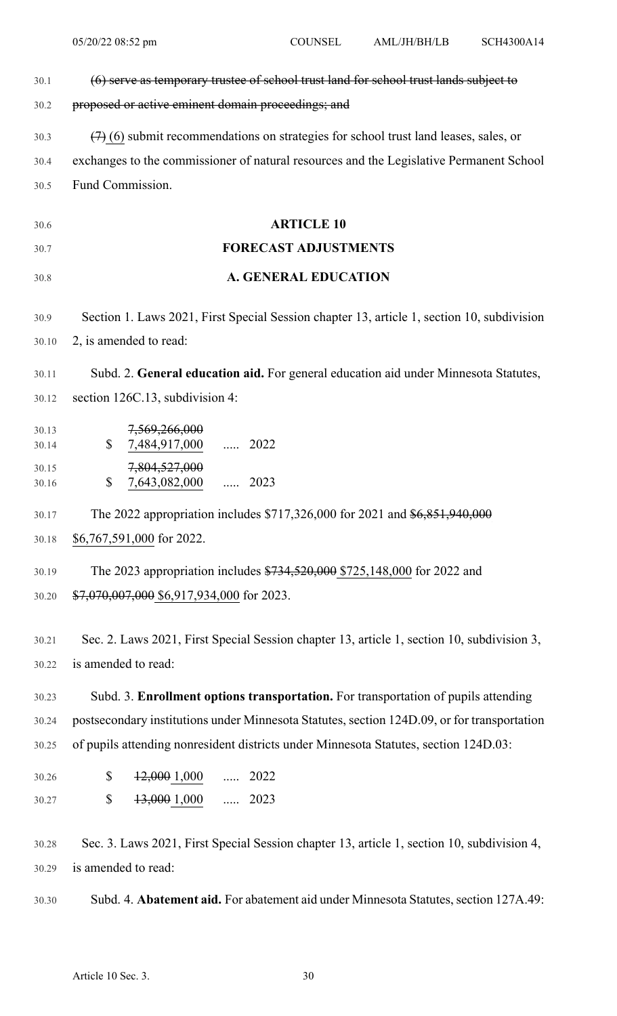| 30.1           | (6) serve as temporary trustee of school trust land for school trust lands subject to       |  |  |  |  |  |  |
|----------------|---------------------------------------------------------------------------------------------|--|--|--|--|--|--|
| 30.2           | proposed or active eminent domain proceedings; and                                          |  |  |  |  |  |  |
| 30.3           | $(7)$ (6) submit recommendations on strategies for school trust land leases, sales, or      |  |  |  |  |  |  |
| 30.4           | exchanges to the commissioner of natural resources and the Legislative Permanent School     |  |  |  |  |  |  |
| 30.5           | Fund Commission.                                                                            |  |  |  |  |  |  |
| 30.6           | <b>ARTICLE 10</b>                                                                           |  |  |  |  |  |  |
| 30.7           | <b>FORECAST ADJUSTMENTS</b>                                                                 |  |  |  |  |  |  |
| 30.8           | <b>A. GENERAL EDUCATION</b>                                                                 |  |  |  |  |  |  |
| 30.9           | Section 1. Laws 2021, First Special Session chapter 13, article 1, section 10, subdivision  |  |  |  |  |  |  |
| 30.10          | 2, is amended to read:                                                                      |  |  |  |  |  |  |
| 30.11          | Subd. 2. General education aid. For general education aid under Minnesota Statutes,         |  |  |  |  |  |  |
| 30.12          | section 126C.13, subdivision 4:                                                             |  |  |  |  |  |  |
| 30.13          | 7,569,266,000                                                                               |  |  |  |  |  |  |
| 30.14          | $\mathbb{S}$<br>7,484,917,000  2022                                                         |  |  |  |  |  |  |
| 30.15<br>30.16 | 7,804,527,000<br>\$<br>7,643,082,000  2023                                                  |  |  |  |  |  |  |
| 30.17          | The 2022 appropriation includes \$717,326,000 for 2021 and \$6,851,940,000                  |  |  |  |  |  |  |
| 30.18          | \$6,767,591,000 for 2022.                                                                   |  |  |  |  |  |  |
| 30.19          | The 2023 appropriation includes \$734,520,000 \$725,148,000 for 2022 and                    |  |  |  |  |  |  |
| 30.20          | \$7,070,007,000 \$6,917,934,000 for 2023.                                                   |  |  |  |  |  |  |
| 30.21          | Sec. 2. Laws 2021, First Special Session chapter 13, article 1, section 10, subdivision 3,  |  |  |  |  |  |  |
| 30.22          | is amended to read:                                                                         |  |  |  |  |  |  |
| 30.23          | Subd. 3. Enrollment options transportation. For transportation of pupils attending          |  |  |  |  |  |  |
| 30.24          | postsecondary institutions under Minnesota Statutes, section 124D.09, or for transportation |  |  |  |  |  |  |
| 30.25          | of pupils attending nonresident districts under Minnesota Statutes, section 124D.03:        |  |  |  |  |  |  |
| 30.26          | \$<br>$\frac{12,000}{1,000}$ 2022                                                           |  |  |  |  |  |  |
| 30.27          | \$<br><del>13,000</del> 1,000<br>$\cdots$ 2023                                              |  |  |  |  |  |  |
| 30.28          | Sec. 3. Laws 2021, First Special Session chapter 13, article 1, section 10, subdivision 4,  |  |  |  |  |  |  |
| 30.29          | is amended to read:                                                                         |  |  |  |  |  |  |
| 30.30          | Subd. 4. Abatement aid. For abatement aid under Minnesota Statutes, section 127A.49:        |  |  |  |  |  |  |
|                |                                                                                             |  |  |  |  |  |  |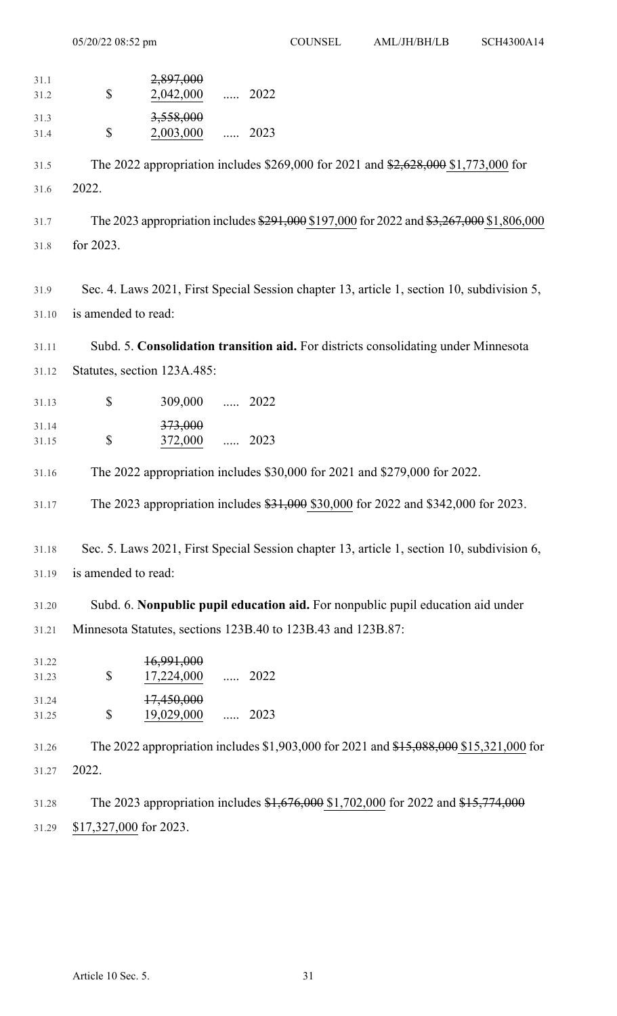|                | 05/20/22 08:52 pm      |                                | <b>COUNSEL</b> | AML/JH/BH/LB                                                 | SCH4300A14                                                                                 |  |
|----------------|------------------------|--------------------------------|----------------|--------------------------------------------------------------|--------------------------------------------------------------------------------------------|--|
| 31.1<br>31.2   | \$                     | 2,897,000<br>2,042,000         | $\cdots$ 2022  |                                                              |                                                                                            |  |
| 31.3<br>31.4   | \$                     | 3,558,000<br>2,003,000         | $\ldots$ 2023  |                                                              |                                                                                            |  |
| 31.5           |                        |                                |                |                                                              | The 2022 appropriation includes \$269,000 for 2021 and \$2,628,000 \$1,773,000 for         |  |
| 31.6           | 2022.                  |                                |                |                                                              |                                                                                            |  |
| 31.7           |                        |                                |                |                                                              | The 2023 appropriation includes \$291,000 \$197,000 for 2022 and \$3,267,000 \$1,806,000   |  |
| 31.8           | for 2023.              |                                |                |                                                              |                                                                                            |  |
| 31.9           |                        |                                |                |                                                              | Sec. 4. Laws 2021, First Special Session chapter 13, article 1, section 10, subdivision 5, |  |
| 31.10          | is amended to read:    |                                |                |                                                              |                                                                                            |  |
| 31.11          |                        |                                |                |                                                              | Subd. 5. Consolidation transition aid. For districts consolidating under Minnesota         |  |
| 31.12          |                        | Statutes, section 123A.485:    |                |                                                              |                                                                                            |  |
| 31.13          | \$                     | 309,000                        | $\cdots$ 2022  |                                                              |                                                                                            |  |
| 31.14          |                        | 373,000                        |                |                                                              |                                                                                            |  |
| 31.15          | \$                     | 372,000                        | $\ldots$ 2023  |                                                              |                                                                                            |  |
| 31.16          |                        |                                |                |                                                              | The 2022 appropriation includes \$30,000 for 2021 and \$279,000 for 2022.                  |  |
| 31.17          |                        |                                |                |                                                              | The 2023 appropriation includes \$31,000 \$30,000 for 2022 and \$342,000 for 2023.         |  |
| 31.18          |                        |                                |                |                                                              | Sec. 5. Laws 2021, First Special Session chapter 13, article 1, section 10, subdivision 6, |  |
| 31.19          | is amended to read:    |                                |                |                                                              |                                                                                            |  |
| 31.20          |                        |                                |                |                                                              | Subd. 6. Nonpublic pupil education aid. For nonpublic pupil education aid under            |  |
| 31.21          |                        |                                |                | Minnesota Statutes, sections 123B.40 to 123B.43 and 123B.87: |                                                                                            |  |
| 31.22          |                        | 16,991,000                     |                |                                                              |                                                                                            |  |
| 31.23<br>31.24 | \$                     | 17,224,000  2022<br>17,450,000 |                |                                                              |                                                                                            |  |
| 31.25          | \$                     | 19,029,000                     | $\cdots$ 2023  |                                                              |                                                                                            |  |
| 31.26          |                        |                                |                |                                                              | The 2022 appropriation includes \$1,903,000 for 2021 and \$15,088,000 \$15,321,000 for     |  |
| 31.27          | 2022.                  |                                |                |                                                              |                                                                                            |  |
| 31.28          |                        |                                |                |                                                              | The 2023 appropriation includes \$1,676,000 \$1,702,000 for 2022 and \$15,774,000          |  |
| 31.29          | \$17,327,000 for 2023. |                                |                |                                                              |                                                                                            |  |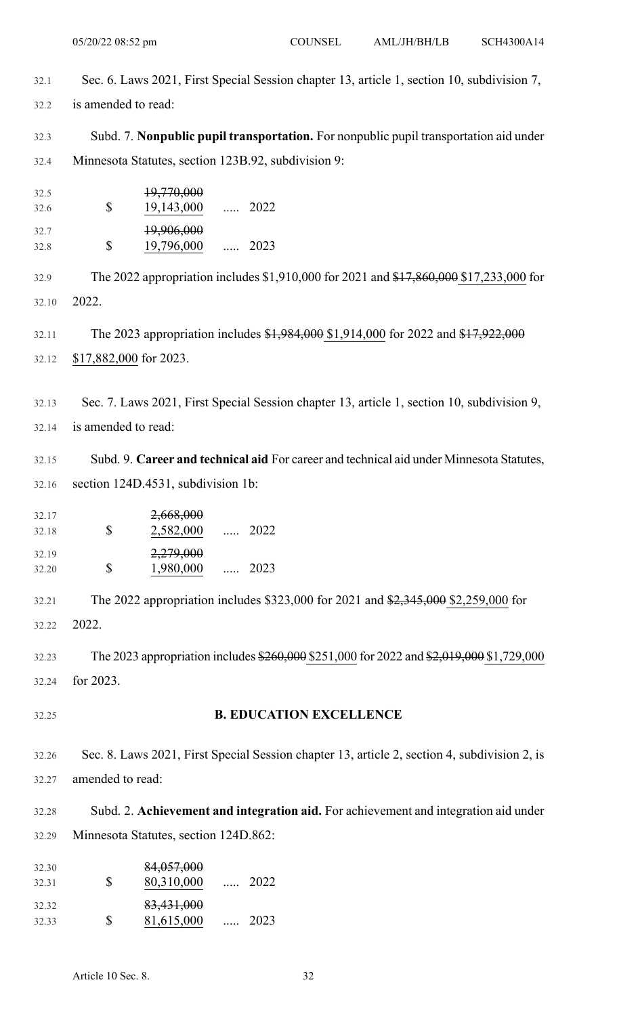- 32.1 Sec. 6. Laws 2021, First Special Session chapter 13, article 1, section 10, subdivision 7,
- 32.2 is amended to read:
- 32.3 Subd. 7. **Nonpublic pupil transportation.** For nonpublic pupil transportation aid under 32.4 Minnesota Statutes, section 123B.92, subdivision 9:
- ..... 2022 32.5 19,770,000 32.6 \$ 19,143,000 ..... 2023 32.7 19,906,000 32.8 \$ 19,796,000

32.9 The 2022 appropriation includes \$1,910,000 for 2021 and \$17,860,000 \$17,233,000 for 32.10 2022.

32.11 The 2023 appropriation includes \$1,984,000 \$1,914,000 for 2022 and \$17,922,000 32.12 \$17,882,000 for 2023.

32.13 Sec. 7. Laws 2021, First Special Session chapter 13, article 1, section 10, subdivision 9, 32.14 is amended to read:

32.15 Subd. 9. **Career and technical aid** For career and technical aid under Minnesota Statutes, 32.16 section 124D.4531, subdivision 1b:

| 32.17<br>32.18 | Ж  | 2,668,000<br>2,582,000 | $\cdots$ | 2022 |
|----------------|----|------------------------|----------|------|
| 32.19<br>32.20 | Ж. | 2,279,000<br>1,980,000 | $\cdots$ | 2023 |

32.21 The 2022 appropriation includes \$323,000 for 2021 and \$2,345,000 \$2,259,000 for 32.22 2022.

32.23 The 2023 appropriation includes \$260,000 \$251,000 for 2022 and \$2,019,000 \$1,729,000 32.24 for 2023.

32.25 **B. EDUCATION EXCELLENCE**

32.26 Sec. 8. Laws 2021, First Special Session chapter 13, article 2, section 4, subdivision 2, is 32.27 amended to read:

32.28 Subd. 2. **Achievement and integration aid.** For achievement and integration aid under 32.29 Minnesota Statutes, section 124D.862:

| 32.30<br>32.31 | S  | 84,057,000<br>80,310,000 |          | $\ldots$ 2022 |
|----------------|----|--------------------------|----------|---------------|
| 32.32<br>32.33 | S. | 83,431,000<br>81,615,000 | $\ldots$ | 2023          |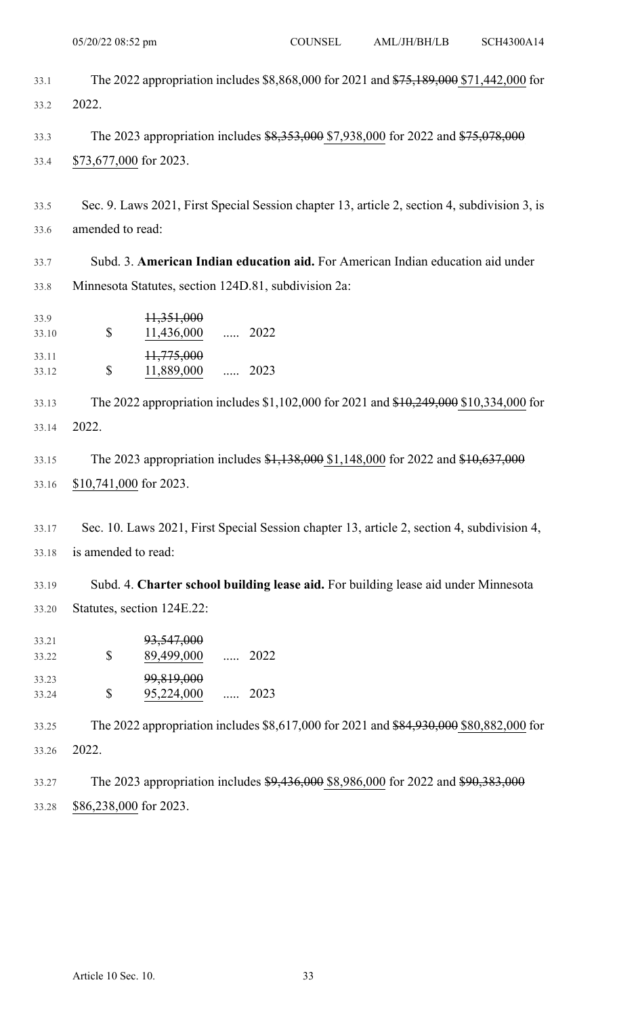|                | 05/20/22 08:52 pm                                                                            | <b>COUNSEL</b> | AML/JH/BH/LB | SCH4300A14 |
|----------------|----------------------------------------------------------------------------------------------|----------------|--------------|------------|
| 33.1           | The 2022 appropriation includes \$8,868,000 for 2021 and \$75,189,000 \$71,442,000 for       |                |              |            |
| 33.2           | 2022.                                                                                        |                |              |            |
|                |                                                                                              |                |              |            |
| 33.3           | The 2023 appropriation includes \$8,353,000 \$7,938,000 for 2022 and \$75,078,000            |                |              |            |
| 33.4           | \$73,677,000 for 2023.                                                                       |                |              |            |
| 33.5           | Sec. 9. Laws 2021, First Special Session chapter 13, article 2, section 4, subdivision 3, is |                |              |            |
| 33.6           | amended to read:                                                                             |                |              |            |
|                |                                                                                              |                |              |            |
| 33.7           | Subd. 3. American Indian education aid. For American Indian education aid under              |                |              |            |
| 33.8           | Minnesota Statutes, section 124D.81, subdivision 2a:                                         |                |              |            |
| 33.9           | <del>11,351,000</del>                                                                        |                |              |            |
| 33.10          | $\mathcal{S}$<br>$11,436,000$ 2022                                                           |                |              |            |
| 33.11<br>33.12 | 11,775,000<br>\$<br>11,889,000  2023                                                         |                |              |            |
|                |                                                                                              |                |              |            |
| 33.13          | The 2022 appropriation includes \$1,102,000 for 2021 and \$10,249,000 \$10,334,000 for       |                |              |            |
| 33.14          | 2022.                                                                                        |                |              |            |
| 33.15          | The 2023 appropriation includes \$1,138,000 \$1,148,000 for 2022 and \$10,637,000            |                |              |            |
| 33.16          | \$10,741,000 for 2023.                                                                       |                |              |            |
|                |                                                                                              |                |              |            |
| 33.17          | Sec. 10. Laws 2021, First Special Session chapter 13, article 2, section 4, subdivision 4,   |                |              |            |
| 33.18          | is amended to read:                                                                          |                |              |            |
|                |                                                                                              |                |              |            |
| 33.19          | Subd. 4. Charter school building lease aid. For building lease aid under Minnesota           |                |              |            |
| 33.20          | Statutes, section 124E.22:                                                                   |                |              |            |
| 33.21          | 93,547,000                                                                                   |                |              |            |
| 33.22          | \$<br>89,499,000  2022                                                                       |                |              |            |
| 33.23<br>33.24 | 99,819,000<br>\$<br>95,224,000<br>2023<br>$\sim$ $\cdots$                                    |                |              |            |
|                |                                                                                              |                |              |            |
| 33.25          | The 2022 appropriation includes \$8,617,000 for 2021 and \$84,930,000 \$80,882,000 for       |                |              |            |
| 33.26          | 2022.                                                                                        |                |              |            |
| 33.27          | The 2023 appropriation includes \$9,436,000 \$8,986,000 for 2022 and \$90,383,000            |                |              |            |
| 33.28          | \$86,238,000 for 2023.                                                                       |                |              |            |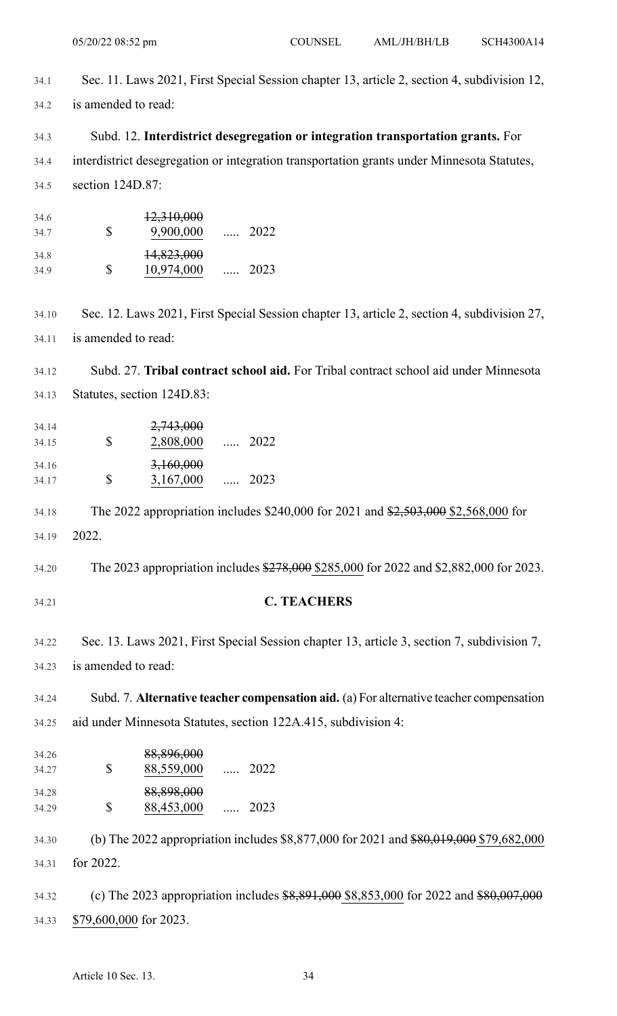| 34.1           | Sec. 11. Laws 2021, First Special Session chapter 13, article 2, section 4, subdivision 12, |
|----------------|---------------------------------------------------------------------------------------------|
| 34.2           | is amended to read:                                                                         |
| 34.3           | Subd. 12. Interdistrict desegregation or integration transportation grants. For             |
| 34.4           | interdistrict desegregation or integration transportation grants under Minnesota Statutes,  |
| 34.5           | section 124D.87:                                                                            |
| 34.6<br>34.7   | 12,310,000<br>$\boldsymbol{\mathsf{S}}$<br>9,900,000  2022                                  |
| 34.8<br>34.9   | 14,823,000<br>\$<br>10,974,000  2023                                                        |
| 34.10          | Sec. 12. Laws 2021, First Special Session chapter 13, article 2, section 4, subdivision 27, |
| 34.11          | is amended to read:                                                                         |
| 34.12          | Subd. 27. Tribal contract school aid. For Tribal contract school aid under Minnesota        |
| 34.13          | Statutes, section 124D.83:                                                                  |
| 34.14          | 2,743,000                                                                                   |
| 34.15          | \$<br>2,808,000  2022                                                                       |
| 34.16<br>34.17 | 3,160,000<br>\$<br>3,167,000<br>2023<br>$\cdots$                                            |
| 34.18          | The 2022 appropriation includes \$240,000 for 2021 and \$2,503,000 \$2,568,000 for          |
| 34.19          | 2022.                                                                                       |
| 34.20          | The 2023 appropriation includes \$278,000 \$285,000 for 2022 and \$2,882,000 for 2023.      |
| 34.21          | <b>C. TEACHERS</b>                                                                          |
| 34.22          | Sec. 13. Laws 2021, First Special Session chapter 13, article 3, section 7, subdivision 7,  |
| 34.23          | is amended to read:                                                                         |
| 34.24          | Subd. 7. Alternative teacher compensation aid. (a) For alternative teacher compensation     |
| 34.25          | aid under Minnesota Statutes, section 122A.415, subdivision 4:                              |
| 34.26<br>34.27 | 88,896,000<br>\$<br>88,559,000  2022                                                        |
| 34.28<br>34.29 | 88,898,000<br>\$<br>88,453,000  2023                                                        |
| 34.30          | (b) The 2022 appropriation includes \$8,877,000 for 2021 and \$80,019,000 \$79,682,000      |
| 34.31          | for 2022.                                                                                   |
| 34.32          | (c) The 2023 appropriation includes $$8,891,000$ \$8,853,000 for 2022 and $$80,007,000$     |
| 34.33          | \$79,600,000 for 2023.                                                                      |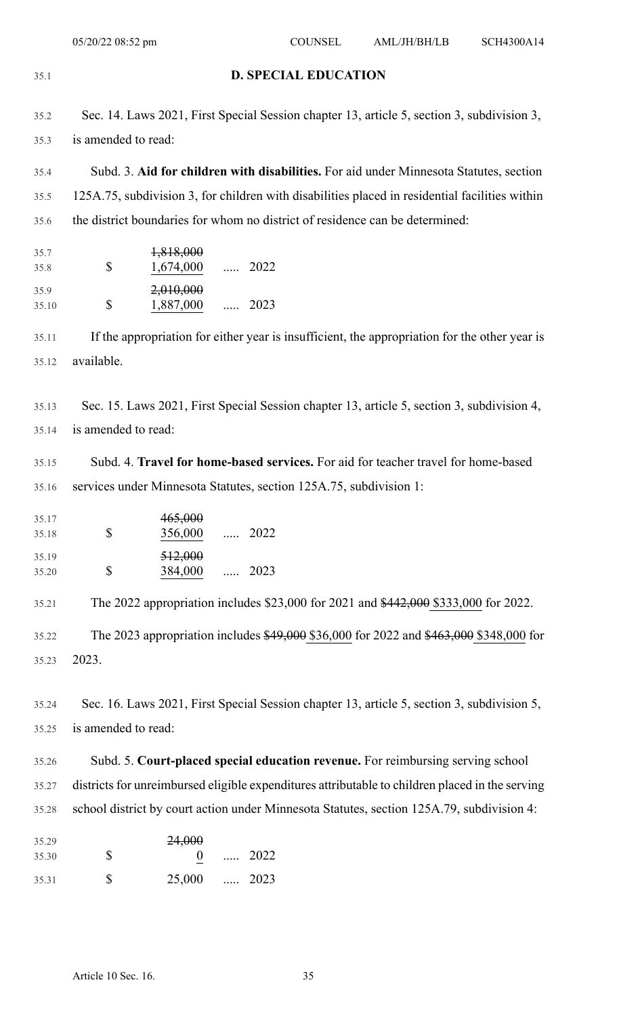35.1 **D. SPECIAL EDUCATION** 35.2 Sec. 14. Laws 2021, First Special Session chapter 13, article 5, section 3, subdivision 3, 35.3 is amended to read: 35.4 Subd. 3. **Aid for children with disabilities.** For aid under Minnesota Statutes, section 35.5 125A.75, subdivision 3, for children with disabilities placed in residential facilities within 35.6 the district boundaries for whom no district of residence can be determined: ..... 2022 35.7  $1,818,000$ <br>35.8 \$  $1,674,000$ 35.8 \$ 1,674,000 ..... 2023 35.9 2,010,000 35.10 \$ 1,887,000 35.11 If the appropriation for either year is insufficient, the appropriation for the other year is 35.12 available. 35.13 Sec. 15. Laws 2021, First Special Session chapter 13, article 5, section 3, subdivision 4, 35.14 is amended to read: 35.15 Subd. 4. **Travel for home-based services.** For aid for teacher travel for home-based 35.16 services under Minnesota Statutes, section 125A.75, subdivision 1: ..... 2022 35.17 465,000 35.18 \$ 356,000 ..... 2023 35.19 512,000 35.20 \$ 384,000 35.21 The 2022 appropriation includes \$23,000 for 2021 and \$442,000 \$333,000 for 2022. 35.22 The 2023 appropriation includes \$49,000 \$36,000 for 2022 and \$463,000 \$348,000 for 35.23 2023. 35.24 Sec. 16. Laws 2021, First Special Session chapter 13, article 5, section 3, subdivision 5, 35.25 is amended to read: 35.26 Subd. 5. **Court-placed special education revenue.** For reimbursing serving school 35.27 districts for unreimbursed eligible expenditures attributable to children placed in the serving 35.28 school district by court action under Minnesota Statutes, section 125A.79, subdivision 4: ..... 2022 35.29 24,000 35.30 \$ 0 35.31 \$ 25,000 ..... 2023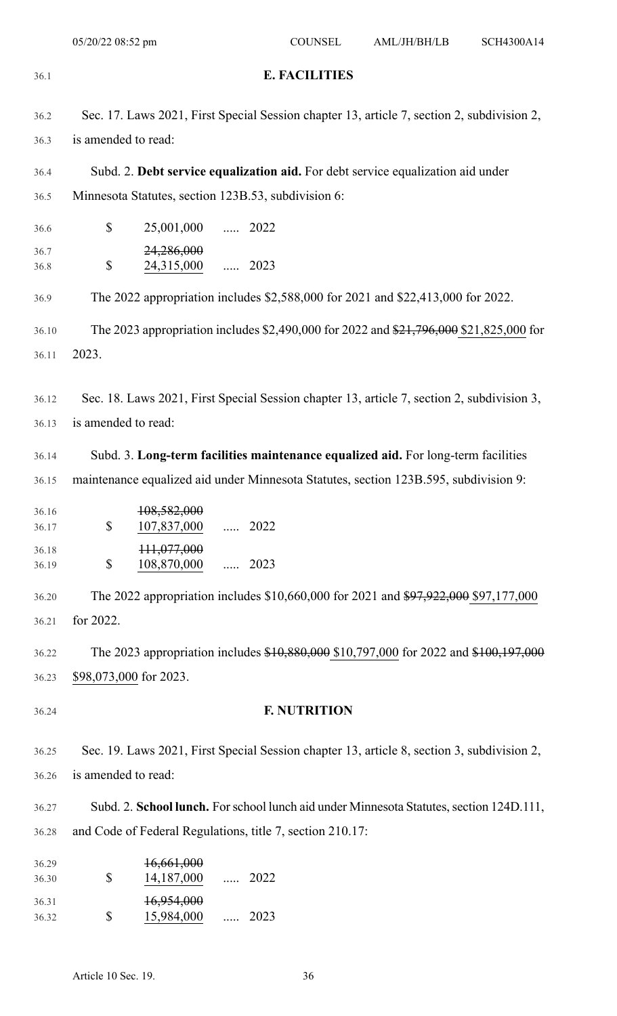| 36.1           | <b>E. FACILITIES</b>                                                                                              |  |  |  |
|----------------|-------------------------------------------------------------------------------------------------------------------|--|--|--|
| 36.2           | Sec. 17. Laws 2021, First Special Session chapter 13, article 7, section 2, subdivision 2,                        |  |  |  |
| 36.3           | is amended to read:                                                                                               |  |  |  |
| 36.4           | Subd. 2. Debt service equalization aid. For debt service equalization aid under                                   |  |  |  |
| 36.5           | Minnesota Statutes, section 123B.53, subdivision 6:                                                               |  |  |  |
| 36.6           | \$<br>25,001,000  2022                                                                                            |  |  |  |
| 36.7<br>36.8   | 24,286,000<br>$\mathbb S$<br>24,315,000  2023                                                                     |  |  |  |
| 36.9           | The 2022 appropriation includes \$2,588,000 for 2021 and \$22,413,000 for 2022.                                   |  |  |  |
| 36.10          | The 2023 appropriation includes \$2,490,000 for 2022 and \$21,796,000 \$21,825,000 for                            |  |  |  |
| 36.11          | 2023.                                                                                                             |  |  |  |
|                |                                                                                                                   |  |  |  |
| 36.12<br>36.13 | Sec. 18. Laws 2021, First Special Session chapter 13, article 7, section 2, subdivision 3,<br>is amended to read: |  |  |  |
|                |                                                                                                                   |  |  |  |
| 36.14          | Subd. 3. Long-term facilities maintenance equalized aid. For long-term facilities                                 |  |  |  |
| 36.15          | maintenance equalized aid under Minnesota Statutes, section 123B.595, subdivision 9:                              |  |  |  |
| 36.16<br>36.17 | 108,582,000<br>\$<br>107,837,000<br>$\cdots$ 2022                                                                 |  |  |  |
| 36.18<br>36.19 | 111,077,000<br>\$<br>108,870,000<br>$\ldots$ 2023                                                                 |  |  |  |
| 36.20          | The 2022 appropriation includes \$10,660,000 for 2021 and \$97,922,000 \$97,177,000                               |  |  |  |
| 36.21          | for 2022.                                                                                                         |  |  |  |
| 36.22          | The 2023 appropriation includes \$10,880,000 \$10,797,000 for 2022 and \$100,197,000                              |  |  |  |
| 36.23          | \$98,073,000 for 2023.                                                                                            |  |  |  |
| 36.24          | <b>F. NUTRITION</b>                                                                                               |  |  |  |
| 36.25          | Sec. 19. Laws 2021, First Special Session chapter 13, article 8, section 3, subdivision 2,                        |  |  |  |
| 36.26          | is amended to read:                                                                                               |  |  |  |
| 36.27          | Subd. 2. School lunch. For school lunch aid under Minnesota Statutes, section 124D.111,                           |  |  |  |
| 36.28          | and Code of Federal Regulations, title 7, section 210.17:                                                         |  |  |  |
| 36.29          | 16,661,000                                                                                                        |  |  |  |
| 36.30          | \$<br>14,187,000<br>$\ldots$ 2022                                                                                 |  |  |  |
| 36.31<br>36.32 | 16,954,000<br>\$<br>15,984,000<br>2023<br>$\cdots$                                                                |  |  |  |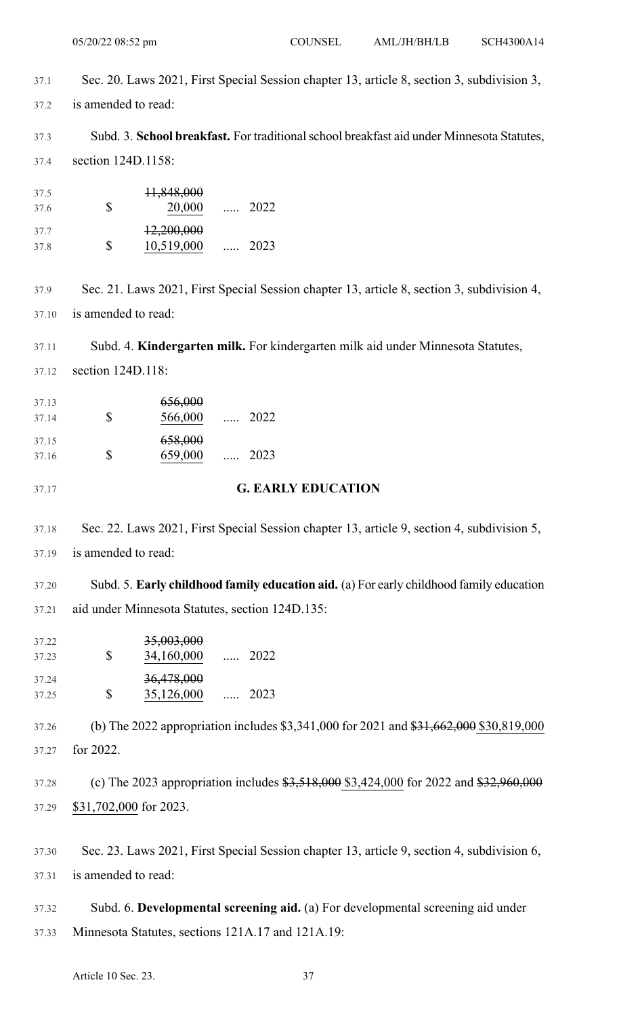37.1 Sec. 20. Laws 2021, First Special Session chapter 13, article 8, section 3, subdivision 3, 37.2 is amended to read:

37.3 Subd. 3. **School breakfast.** For traditionalschool breakfast aid under Minnesota Statutes, 37.4 section 124D.1158:

..... 2022 37.5 11,848,000 37.6 \$ 20,000 ..... 2023 37.7 12,200,000 37.8 \$ 10,519,000

37.9 Sec. 21. Laws 2021, First Special Session chapter 13, article 8, section 3, subdivision 4, 37.10 is amended to read:

37.11 Subd. 4. **Kindergarten milk.** For kindergarten milk aid under Minnesota Statutes, 37.12 section 124D.118:

..... 2022 37.13 656,000 37.14 \$ 566,000 ..... 2023 37.15 658,000 37.16 \$ 659,000

37.17 **G. EARLY EDUCATION**

37.18 Sec. 22. Laws 2021, First Special Session chapter 13, article 9, section 4, subdivision 5, 37.19 is amended to read:

37.20 Subd. 5. **Early childhood family education aid.** (a) For early childhood family education 37.21 aid under Minnesota Statutes, section 124D.135:

| 37.22<br>37.23 | S | 35,003,000<br>34,160,000 | $\cdots$ | 2022 |
|----------------|---|--------------------------|----------|------|
| 37.24<br>37.25 | S | 36,478,000<br>35,126,000 |          | 2023 |

37.26 (b) The 2022 appropriation includes \$3,341,000 for 2021 and \$31,662,000 \$30,819,000 37.27 for 2022.

37.28 (c) The 2023 appropriation includes  $$3,518,000$  \$3,424,000 for 2022 and \$32,960,000 37.29 \$31,702,000 for 2023.

37.30 Sec. 23. Laws 2021, First Special Session chapter 13, article 9, section 4, subdivision 6, 37.31 is amended to read:

37.32 Subd. 6. **Developmental screening aid.** (a) For developmental screening aid under 37.33 Minnesota Statutes, sections 121A.17 and 121A.19: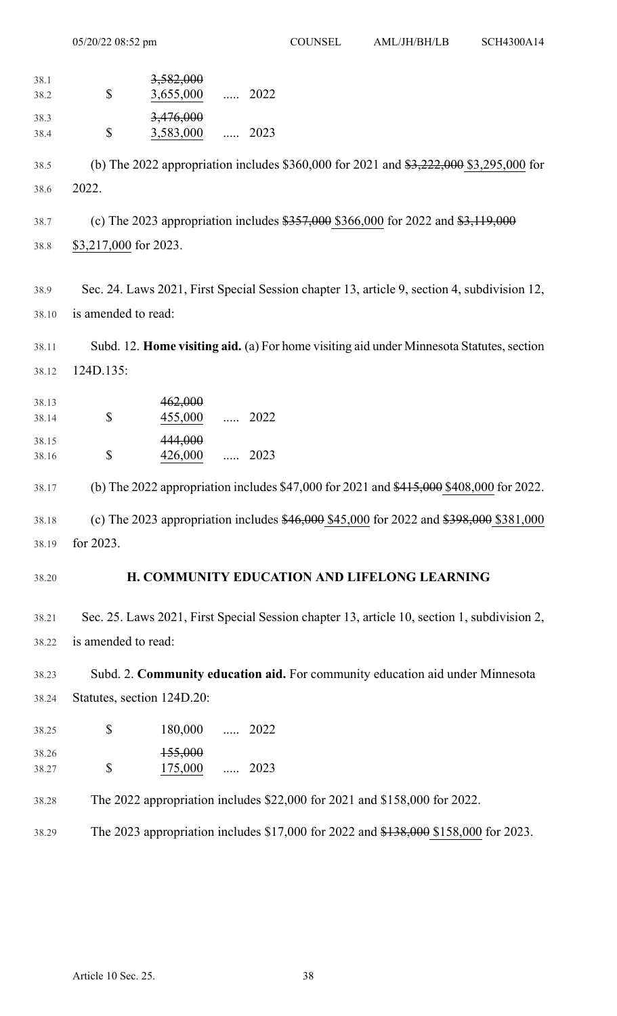..... 2022 38.1 38.2,000 38.2 \$ 3,655,000 ..... 2023 38.3 3,476,000 38.4 \$ 3,583,000 38.5 (b) The 2022 appropriation includes \$360,000 for 2021 and \$3,222,000 \$3,295,000 for 38.6 2022. 38.7 (c) The 2023 appropriation includes \$357,000 \$366,000 for 2022 and \$3,119,000 38.8 \$3,217,000 for 2023. 38.9 Sec. 24. Laws 2021, First Special Session chapter 13, article 9, section 4, subdivision 12, 38.10 is amended to read: 38.11 Subd. 12. **Home visiting aid.** (a) For home visiting aid under Minnesota Statutes,section 38.12 124D.135: ..... 2022 38.13 462,000 38.14 \$ 455,000 ..... 2023 38.15 444,000 38.16 \$ 426,000 38.17 (b) The 2022 appropriation includes \$47,000 for 2021 and \$415,000 \$408,000 for 2022. 38.18 (c) The 2023 appropriation includes \$46,000 \$45,000 for 2022 and \$398,000 \$381,000 38.19 for 2023. 38.20 **H. COMMUNITY EDUCATION AND LIFELONG LEARNING** 38.21 Sec. 25. Laws 2021, First Special Session chapter 13, article 10, section 1, subdivision 2, 38.22 is amended to read: 38.23 Subd. 2. **Community education aid.** For community education aid under Minnesota 38.24 Statutes, section 124D.20: 38.25 \$ 180,000 ..... 2022 ..... 2023 38.26 155,000 38.27 \$ 175,000 38.28 The 2022 appropriation includes \$22,000 for 2021 and \$158,000 for 2022. 38.29 The 2023 appropriation includes \$17,000 for 2022 and \$138,000 \$158,000 for 2023. 05/20/22 08:52 pm COUNSEL AML/JH/BH/LB SCH4300A14